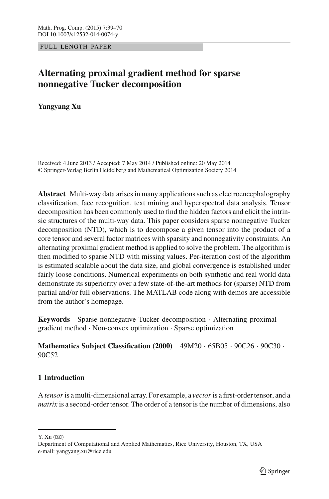FULL LENGTH PAPER

# **Alternating proximal gradient method for sparse nonnegative Tucker decomposition**

**Yangyang Xu**

Received: 4 June 2013 / Accepted: 7 May 2014 / Published online: 20 May 2014 © Springer-Verlag Berlin Heidelberg and Mathematical Optimization Society 2014

**Abstract** Multi-way data arises in many applications such as electroencephalography classification, face recognition, text mining and hyperspectral data analysis. Tensor decomposition has been commonly used to find the hidden factors and elicit the intrinsic structures of the multi-way data. This paper considers sparse nonnegative Tucker decomposition (NTD), which is to decompose a given tensor into the product of a core tensor and several factor matrices with sparsity and nonnegativity constraints. An alternating proximal gradient method is applied to solve the problem. The algorithm is then modified to sparse NTD with missing values. Per-iteration cost of the algorithm is estimated scalable about the data size, and global convergence is established under fairly loose conditions. Numerical experiments on both synthetic and real world data demonstrate its superiority over a few state-of-the-art methods for (sparse) NTD from partial and/or full observations. The MATLAB code along with demos are accessible from the author's homepage.

**Keywords** Sparse nonnegative Tucker decomposition · Alternating proximal gradient method · Non-convex optimization · Sparse optimization

**Mathematics Subject Classification (2000)** 49M20 · 65B05 · 90C26 · 90C30 · 90C52

## **1 Introduction**

A *tensor* is a multi-dimensional array. For example, a *vector* is a first-order tensor, and a *matrix* is a second-order tensor. The order of a tensor is the number of dimensions, also

Y. Xu  $(\boxtimes)$ 

Department of Computational and Applied Mathematics, Rice University, Houston, TX, USA e-mail: yangyang.xu@rice.edu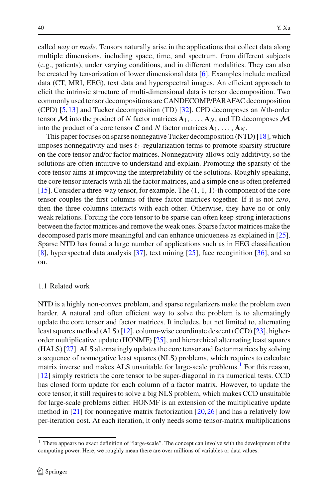called *way* or *mode*. Tensors naturally arise in the applications that collect data along multiple dimensions, including space, time, and spectrum, from different subjects (e.g., patients), under varying conditions, and in different modalities. They can also be created by tensorization of lower dimensional data [\[6\]](#page-30-0). Examples include medical data (CT, MRI, EEG), text data and hyperspectral images. An efficient approach to elicit the intrinsic structure of multi-dimensional data is tensor decomposition. Two commonly used tensor decompositions are CANDECOMP/PARAFAC decomposition (CPD) [\[5](#page-30-1)[,13](#page-31-0)] and Tucker decomposition (TD) [\[32\]](#page-31-1). CPD decomposes an *N*th-order tensor  $\mathcal{M}$  into the product of *N* factor matrices  $\mathbf{A}_1, \ldots, \mathbf{A}_N$ , and TD decomposes  $\mathcal{M}$ into the product of a core tensor  $C$  and  $N$  factor matrices  $A_1, \ldots, A_N$ .

This paper focuses on sparse nonnegative Tucker decomposition (NTD) [\[18](#page-31-2)], which imposes nonnegativity and uses  $\ell_1$ -regularization terms to promote sparsity structure on the core tensor and/or factor matrices. Nonnegativity allows only additivity, so the solutions are often intuitive to understand and explain. Promoting the sparsity of the core tensor aims at improving the interpretability of the solutions. Roughly speaking, the core tensor interacts with all the factor matrices, and a simple one is often preferred [\[15](#page-31-3)]. Consider a three-way tensor, for example. The  $(1, 1, 1)$ -th component of the core tensor couples the first columns of three factor matrices together. If it is not *zero*, then the three columns interacts with each other. Otherwise, they have no or only weak relations. Forcing the core tensor to be sparse can often keep strong interactions between the factor matrices and remove the weak ones. Sparse factor matrices make the decomposed parts more meaningful and can enhance uniqueness as explained in [\[25](#page-31-4)]. Sparse NTD has found a large number of applications such as in EEG classification [\[8](#page-30-2)], hyperspectral data analysis [\[37](#page-31-5)], text mining [\[25\]](#page-31-4), face recoginition [\[36\]](#page-31-6), and so on.

#### 1.1 Related work

NTD is a highly non-convex problem, and sparse regularizers make the problem even harder. A natural and often efficient way to solve the problem is to alternatingly update the core tensor and factor matrices. It includes, but not limited to, alternating least squares method (ALS) [\[12](#page-31-7)], column-wise coordinate descent (CCD) [\[23](#page-31-8)], higherorder multiplicative update (HONMF) [\[25](#page-31-4)], and hierarchical alternating least squares (HALS) [\[27](#page-31-9)]. ALS alternatingly updates the core tensor and factor matrices by solving a sequence of nonnegative least squares (NLS) problems, which requires to calculate matrix inverse and makes ALS unsuitable for large-scale problems.<sup>1</sup> For this reason, [\[12](#page-31-7)] simply restricts the core tensor to be super-diagonal in its numerical tests. CCD has closed form update for each column of a factor matrix. However, to update the core tensor, it still requires to solve a big NLS problem, which makes CCD unsuitable for large-scale problems either. HONMF is an extension of the multiplicative update method in  $[21]$  $[21]$  for nonnegative matrix factorization  $[20,26]$  $[20,26]$  and has a relatively low per-iteration cost. At each iteration, it only needs some tensor-matrix multiplications

<span id="page-1-0"></span><sup>&</sup>lt;sup>1</sup> There appears no exact definition of "large-scale". The concept can involve with the development of the computing power. Here, we roughly mean there are over millions of variables or data values.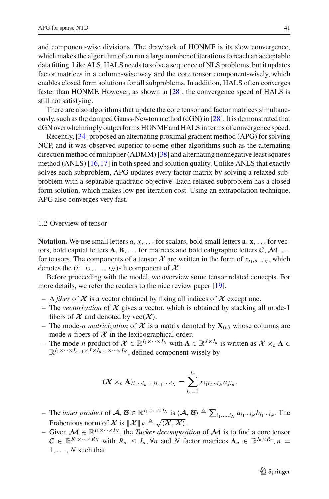and component-wise divisions. The drawback of HONMF is its slow convergence, which makes the algorithm often run a large number of iterations to reach an acceptable data fitting. Like ALS, HALS needs to solve a sequence of NLS problems, but it updates factor matrices in a column-wise way and the core tensor component-wisely, which enables closed form solutions for all subproblems. In addition, HALS often converges faster than HONMF. However, as shown in [\[28](#page-31-13)], the convergence speed of HALS is still not satisfying.

There are also algorithms that update the core tensor and factor matrices simultaneously, such as the damped Gauss-Newton method (dGN) in [\[28](#page-31-13)]. It is demonstrated that dGN overwhelmingly outperforms HONMF and HALS in terms of convergence speed.

Recently, [\[34](#page-31-14)] proposed an alternating proximal gradient method (APG) for solving NCP, and it was observed superior to some other algorithms such as the alternating direction method of multiplier (ADMM) [\[38\]](#page-31-15) and alternating nonnegative least squares method (ANLS) [\[16,](#page-31-16)[17\]](#page-31-17) in both speed and solution quality. Unlike ANLS that exactly solves each subproblem, APG updates every factor matrix by solving a relaxed subproblem with a separable quadratic objective. Each relaxed subproblem has a closed form solution, which makes low per-iteration cost. Using an extrapolation technique, APG also converges very fast.

### 1.2 Overview of tensor

**Notation.** We use small letters  $a, x, \ldots$  for scalars, bold small letters  $\mathbf{a}, \mathbf{x}, \ldots$  for vectors, bold capital letters  $\mathbf{A}, \mathbf{B}, \ldots$  for matrices and bold caligraphic letters  $\mathbf{C}, \mathbf{M}, \ldots$ for tensors. The components of a tensor  $\mathcal X$  are written in the form of  $x_{i_1i_2\cdots i_N}$ , which denotes the  $(i_1, i_2, \ldots, i_N)$ -th component of  $\mathcal{X}$ .

Before proceeding with the model, we overview some tensor related concepts. For more details, we refer the readers to the nice review paper [\[19](#page-31-18)].

- A *fiber* of *X* is a vector obtained by fixing all indices of *X* except one.
- The *vectorization* of  $X$  gives a vector, which is obtained by stacking all mode-1 fibers of  $X$  and denoted by vec $(X)$ .
- The mode-*n matricization* of  $X$  is a matrix denoted by  $X_{(n)}$  whose columns are mode-*n* fibers of  $X$  in the lexicographical order.
- The mode-*<sup>n</sup>* product of *<sup>X</sup>* <sup>∈</sup> <sup>R</sup>*I*1×···×*IN* with **<sup>A</sup>** <sup>∈</sup> <sup>R</sup>*J*×*In* is written as *<sup>X</sup>* <sup>×</sup>*<sup>n</sup>* **<sup>A</sup>** <sup>∈</sup>  $\mathbb{R}^{I_1 \times \cdots \times I_{n-1} \times J \times I_{n+1} \times \cdots \times I_N}$ , defined component-wisely by

$$
(\mathcal{X} \times_n \mathbf{A})_{i_1 \cdots i_{n-1} j i_{n+1} \cdots i_N} = \sum_{i_n=1}^{I_n} x_{i_1 i_2 \cdots i_N} a_{j i_n}.
$$

- $-$  The *inner product* of  $\mathcal{A}, \mathcal{B} \in \mathbb{R}^{I_1 \times \cdots \times I_N}$  is  $\langle \mathcal{A}, \mathcal{B} \rangle \triangleq \sum_{i_1, ..., i_N} a_{i_1 \cdots i_N} b_{i_1 \cdots i_N}$ . The Frobenious norm of *X* is  $\|\mathcal{X}\|_F \triangleq \sqrt{\langle \mathcal{X}, \mathcal{X} \rangle}$ .
- Given  $\mathcal{M}$  ∈  $\mathbb{R}^{I_1 \times \cdots \times I_N}$ , the *Tucker decomposition* of  $\mathcal{M}$  is to find a core tensor  $C \in \mathbb{R}^{R_1 \times \cdots \times R_N}$  with  $R_n \leq I_n$ ,  $\forall n$  and  $N$  factor matrices  $A_n \in \mathbb{R}^{I_n \times R_n}$ ,  $n =$ 1,..., *N* such that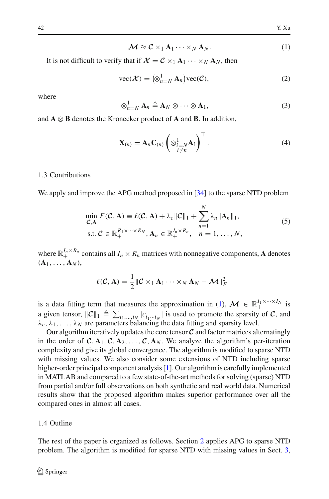$$
\mathcal{M} \approx \mathcal{C} \times_1 \mathbf{A}_1 \cdots \times_N \mathbf{A}_N. \tag{1}
$$

<span id="page-3-2"></span><span id="page-3-0"></span>It is not difficult to verify that if  $\mathcal{X} = \mathcal{C} \times_1 \mathbf{A}_1 \cdots \times_N \mathbf{A}_N$ , then

$$
\text{vec}(\mathcal{X}) = \left(\otimes_{n=N}^{1} \mathbf{A}_n\right) \text{vec}(\mathcal{C}),\tag{2}
$$

where

$$
\otimes_{n=N}^1 \mathbf{A}_n \triangleq \mathbf{A}_N \otimes \cdots \otimes \mathbf{A}_1,\tag{3}
$$

<span id="page-3-3"></span>and  $\bf{A} \otimes \bf{B}$  denotes the Kronecker product of  $\bf{A}$  and  $\bf{B}$ . In addition,

$$
\mathbf{X}_{(n)} = \mathbf{A}_n \mathbf{C}_{(n)} \left( \otimes_{\substack{i=N \\ i \neq n}}^1 \mathbf{A}_i \right)^\top. \tag{4}
$$

## 1.3 Contributions

<span id="page-3-1"></span>We apply and improve the APG method proposed in [\[34\]](#page-31-14) to the sparse NTD problem

$$
\min_{\mathcal{C}, \mathbf{A}} F(\mathcal{C}, \mathbf{A}) \equiv \ell(\mathcal{C}, \mathbf{A}) + \lambda_c \|\mathcal{C}\|_1 + \sum_{n=1}^{N} \lambda_n \|\mathbf{A}_n\|_1,
$$
  
s.t.  $\mathcal{C} \in \mathbb{R}_+^{R_1 \times \dots \times R_N}$ ,  $\mathbf{A}_n \in \mathbb{R}_+^{L_n \times R_n}$ ,  $n = 1, ..., N$ , (5)

where  $\mathbb{R}_+^{I_n \times R_n}$  contains all  $I_n \times R_n$  matrices with nonnegative components, **A** denotes  $(A_1, \ldots, A_N)$ ,

$$
\ell(\mathcal{C}, \mathbf{A}) = \frac{1}{2} \|\mathcal{C} \times_1 \mathbf{A}_1 \cdots \times_N \mathbf{A}_N - \mathcal{M}\|_F^2
$$

is a data fitting term that measures the approximation in [\(1\)](#page-3-0),  $\mathcal{M} \in \mathbb{R}_+^{I_1 \times \cdots \times I_N}$  is a given tensor,  $||C||_1 \triangleq \sum_{i_1,\dots,i_N} |c_{i_1\cdots i_N}|$  is used to promote the sparsity of *C*, and  $\lambda_c, \lambda_1, \ldots, \lambda_N$  are parameters balancing the data fitting and sparsity level.

Our algorithm iteratively updates the core tensor  $\mathcal C$  and factor matrices alternatingly in the order of  $C, A_1, C, A_2, \ldots, C, A_N$ . We analyze the algorithm's per-iteration complexity and give its global convergence. The algorithm is modified to sparse NTD with missing values. We also consider some extensions of NTD including sparse higher-order principal component analysis [\[1](#page-30-3)]. Our algorithm is carefully implemented in MATLAB and compared to a few state-of-the-art methods for solving (sparse) NTD from partial and/or full observations on both synthetic and real world data. Numerical results show that the proposed algorithm makes superior performance over all the compared ones in almost all cases.

## 1.4 Outline

The rest of the paper is organized as follows. Section [2](#page-4-0) applies APG to sparse NTD problem. The algorithm is modified for sparse NTD with missing values in Sect. [3,](#page-8-0)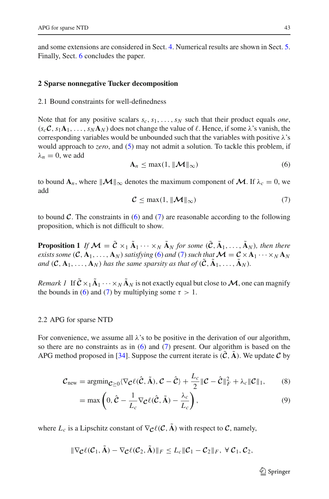and some extensions are considered in Sect. [4.](#page-9-0) Numerical results are shown in Sect. [5.](#page-11-0) Finally, Sect. [6](#page-18-0) concludes the paper.

#### <span id="page-4-0"></span>**2 Sparse nonnegative Tucker decomposition**

#### 2.1 Bound constraints for well-definedness

Note that for any positive scalars  $s_c, s_1, \ldots, s_N$  such that their product equals *one*,  $(s_c \mathcal{C}, s_1 \mathbf{A}_1, \dots, s_N \mathbf{A}_N)$  does not change the value of  $\ell$ . Hence, if some  $\lambda$ 's vanish, the corresponding variables would be unbounded such that the variables with positive  $\lambda$ 's would approach to *zero*, and [\(5\)](#page-3-1) may not admit a solution. To tackle this problem, if  $\lambda_n = 0$ , we add

$$
\mathbf{A}_n \leq \max(1, \|\mathcal{M}\|_{\infty})
$$
 (6)

<span id="page-4-2"></span><span id="page-4-1"></span>to bound  $\mathbf{A}_n$ , where  $||\mathbf{M}||_{\infty}$  denotes the maximum component of  $\mathbf{M}$ . If  $\lambda_c = 0$ , we add

$$
\mathcal{C} \le \max(1, \|\mathcal{M}\|_{\infty})
$$
 (7)

to bound  $C$ . The constraints in  $(6)$  and  $(7)$  are reasonable according to the following proposition, which is not difficult to show.

**Proposition 1** *If*  $\mathcal{M} = \tilde{\mathcal{C}} \times_1 \tilde{A}_1 \cdots \times_N \tilde{A}_N$  for some  $(\tilde{\mathcal{C}}, \tilde{A}_1, \ldots, \tilde{A}_N)$ , then there *exists some*  $(C, A_1, \ldots, A_N)$  *satisfying* [\(6\)](#page-4-1) *and* [\(7\)](#page-4-2) *such that*  $\mathcal{M} = C \times A_1 \cdots \times N A_N$ *and*  $(C, A_1, \ldots, A_N)$  *has the same sparsity as that of*  $(C, A_1, \ldots, A_N)$ *.* 

*Remark 1* If  $C \times_1 \tilde{A}_1 \cdots \times_N \tilde{A}_N$  is not exactly equal but close to M, one can magnify the bounds in [\(6\)](#page-4-1) and [\(7\)](#page-4-2) by multiplying some  $\tau > 1$ .

#### 2.2 APG for sparse NTD

For convenience, we assume all  $\lambda$ 's to be positive in the derivation of our algorithm, so there are no constraints as in [\(6\)](#page-4-1) and [\(7\)](#page-4-2) present. Our algorithm is based on the APG method proposed in [\[34\]](#page-31-14). Suppose the current iterate is  $(C, \tilde{A})$ . We update C by

$$
\mathcal{C}_{\text{new}} = \text{argmin}_{\mathcal{C} \ge 0} \langle \nabla_{\mathcal{C}} \ell(\hat{\mathcal{C}}, \tilde{\mathbf{A}}), \mathcal{C} - \hat{\mathcal{C}} \rangle + \frac{L_c}{2} \|\mathcal{C} - \hat{\mathcal{C}}\|_F^2 + \lambda_c \|\mathcal{C}\|_1, \qquad (8)
$$

<span id="page-4-4"></span><span id="page-4-3"></span>
$$
= \max \left( 0, \hat{C} - \frac{1}{L_c} \nabla_{\mathcal{C}} \ell(\hat{C}, \tilde{A}) - \frac{\lambda_c}{L_c} \right), \tag{9}
$$

where  $L_c$  is a Lipschitz constant of  $\nabla$ *C* $\ell$  (*C*, **A**̃) with respect to *C*, namely,

$$
\|\nabla_{\mathcal{C}}\ell(\mathcal{C}_1,\tilde{\mathbf{A}})-\nabla_{\mathcal{C}}\ell(\mathcal{C}_2,\tilde{\mathbf{A}})\|_F\leq L_c\|\mathcal{C}_1-\mathcal{C}_2\|_F, \ \forall \ \mathcal{C}_1,\mathcal{C}_2,
$$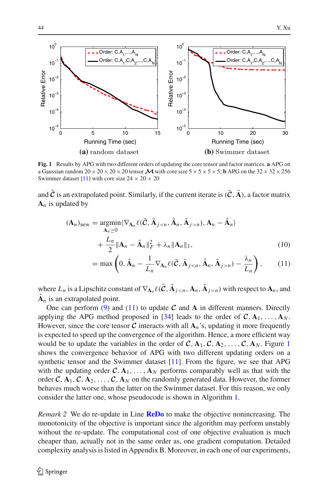

<span id="page-5-1"></span>**Fig. 1** Results by APG with two different orders of updating the core tensor and factor matrices. **a** APG on a Gaussian random  $20 \times 20 \times 20 \times 20$  tensor  $\mathcal M$  with core size  $5 \times 5 \times 5 \times 5$ ; **b** APG on the  $32 \times 32 \times 256$ Swimmer dataset [\[11](#page-31-19)] with core size  $24 \times 20 \times 20$ 

and  $\hat{\mathcal{C}}$  is an extrapolated point. Similarly, if the current iterate is  $(\tilde{\mathcal{C}}, \tilde{\mathbf{A}})$ , a factor matrix  $A_n$  is updated by

$$
(\mathbf{A}_n)_{\text{new}} = \underset{\mathbf{A}_n \ge 0}{\text{argmin}} \langle \nabla_{\mathbf{A}_n} \ell(\tilde{\mathbf{C}}, \tilde{\mathbf{A}}_{j \le n}, \hat{\mathbf{A}}_n, \tilde{\mathbf{A}}_{j > n}), \mathbf{A}_n - \hat{\mathbf{A}}_n \rangle
$$
  
+ 
$$
\frac{L_n}{2} \|\mathbf{A}_n - \hat{\mathbf{A}}_n\|_F^2 + \lambda_n \|\mathbf{A}_n\|_1,
$$
 (10)

<span id="page-5-2"></span><span id="page-5-0"></span>
$$
= \max \left( 0, \hat{\mathbf{A}}_n - \frac{1}{L_n} \nabla_{\mathbf{A}_n} \ell(\tilde{\mathcal{C}}, \tilde{\mathbf{A}}_{j < n}, \hat{\mathbf{A}}_n, \tilde{\mathbf{A}}_{j > n}) - \frac{\lambda_n}{L_n} \right), \tag{11}
$$

where  $L_n$  is a Lipschitz constant of  $\nabla_{\mathbf{A}_n} \ell(\tilde{\mathbf{C}}, \tilde{\mathbf{A}}_{j \leq n}, \mathbf{A}_n, \tilde{\mathbf{A}}_{j > n})$  with respect to  $\mathbf{A}_n$ , and  $\mathbf{A}_n$  is an extrapolated point.

One can perform  $(9)$  and  $(11)$  to update C and A in different manners. Directly applying the APG method proposed in [\[34\]](#page-31-14) leads to the order of  $C, A_1, \ldots, A_N$ . However, since the core tensor  $C$  interacts with all  $A_n$ 's, updating it more frequently is expected to speed up the convergence of the algorithm. Hence, a more efficient way would be to update the variables in the order of  $C$ ,  $A_1$  $A_1$ ,  $C$ ,  $A_2$ , ...,  $C$ ,  $A_N$ . Figure 1 shows the convergence behavior of APG with two different updating orders on a synthetic tensor and the Swimmer dataset [\[11\]](#page-31-19). From the figure, we see that APG with the updating order  $C, A_1, \ldots, A_N$  performs comparably well as that with the order  $C$ ,  $A_1$ ,  $C$ ,  $A_2$ , ...,  $C$ ,  $A_N$  on the randomly generated data. However, the former behaves much worse than the latter on the Swimmer dataset. For this reason, we only consider the latter one, whose pseudocode is shown in Algorithm [1.](#page-6-0)

*Remark 2* We do re-update in Line **[ReDo](#page-6-1)** to make the objective nonincreasing. The monotonicity of the objective is important since the algorithm may perform unstably without the re-update. The computational cost of one objective evaluation is much cheaper than, actually not in the same order as, one gradient computation. Detailed complexity analysis is listed in Appendix B. Moreover, in each one of our experiments,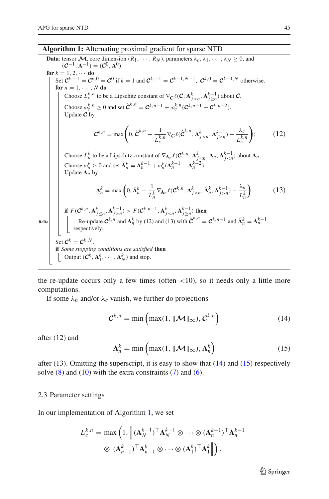#### **Algorithm 1:** Alternating proximal gradient for sparse NTD

<span id="page-6-0"></span>**Data**: tensor  $\mathcal{M}$ , core dimension  $(R_1, \dots, R_N)$ , parameters  $\lambda_c, \lambda_1, \dots, \lambda_N \geq 0$ , and  $({\mathcal{C}}^{-1}, {\mathbf{A}}^{-1}) = ({\mathcal{C}}^0, {\mathbf{A}}^0).$  for  $k = 1, 2, \cdots$  do Set  $C^{k,-1} = C^{k,0} = C^0$  if  $k = 1$  and  $C^{k,-1} = C^{k-1,N-1}$ ,  $C^{k,0} = C^{k-1,N}$  otherwise. **for**  $n = 1, \cdots, N$  **do** Choose  $L_c^{k,n}$  to be a Lipschitz constant of  $\nabla$ *C*.  $(\mathcal{C}, \mathbf{A}_{j \leq n}^k, \mathbf{A}_{j \geq n}^{k-1})$  about **C**. Choose  $\omega_c^{k,n} \ge 0$  and set  $\hat{\mathcal{C}}^{k,n} = \mathcal{C}^{k,n-1} + \omega_c^{k,n}(\mathcal{C}^{k,n-1} - \mathcal{C}^{k,n-2}).$ Update *C* by  $\mathcal{C}^{k,n} = \max \left(0, \hat{\mathcal{C}}^{k,n} - \frac{1}{L_c^{k,n}} \nabla_{\mathcal{C}} \ell(\hat{\mathcal{C}}^{k,n}, \mathbf{A}_{j \le n}^k, \mathbf{A}_{j \ge n}^{k-1}) - \frac{\lambda_c}{L_c^{k,n}}\right)$ Λ  $(12)$ Choose  $L_n^k$  to be a Lipschitz constant of  $\nabla_{A_n} \ell(C^{k,n}, A_{j about  $A_n$ .$ Choose  $\omega_n^k \ge 0$  and set  $\hat{\mathbf{A}}_n^k = \mathbf{A}_n^{k-1} + \omega_n^k (\mathbf{A}_n^{k-1} - \mathbf{A}_n^{k-2})$ . Update  $A_n$  by  $A_n^k = \max \left(0, \hat{A}_n^k - \frac{1}{L_n^k} \nabla_{A_n} \ell(C^{k,n}, A_{j \le n}^k, \hat{A}_n^k, A_{j \ge n}^{k-1}) - \frac{\lambda_n}{L_n^k}\right)$  $\lambda$  $(13)$ if  $F(\mathcal{C}^{k,n}, \mathbf{A}_{j \leq n}^k, \mathbf{A}_{j>n}^{k-1}) > F(\mathcal{C}^{k,n-1}, \mathbf{A}_{j < n}^k, \mathbf{A}_{j \geq n}^{k-1})$  then **ReDo**<br>Re-update  $C^{k,n}$  and  $A_n^k$  by (12) and (13) with  $\hat{C}^{k,n} = C^{k,n-1}$  and  $\hat{A}_n^k = A_n^{k-1}$ , respectively. Set *<sup>C</sup><sup>k</sup>* <sup>=</sup> *<sup>C</sup>k*,*<sup>N</sup>* . **if** *Some stopping conditions are satisfied* **then** Output  $(\mathcal{C}^k, \mathbf{A}_1^k, \cdots, \mathbf{A}_N^k)$  and stop.

<span id="page-6-1"></span>the re-update occurs only a few times (often  $\langle 10 \rangle$ , so it needs only a little more computations.

<span id="page-6-2"></span>If some  $\lambda_n$  and/or  $\lambda_c$  vanish, we further do projections

$$
\mathcal{C}^{k,n} = \min\left(\max(1, \|\mathcal{M}\|_{\infty}), \mathcal{C}^{k,n}\right) \tag{14}
$$

<span id="page-6-3"></span>after (12) and

$$
\mathbf{A}_n^k = \min\left(\max(1, \|\mathcal{M}\|_{\infty}), \mathbf{A}_n^k\right) \tag{15}
$$

after (13). Omitting the superscript, it is easy to show that  $(14)$  and  $(15)$  respectively solve  $(8)$  and  $(10)$  with the extra constraints  $(7)$  and  $(6)$ .

#### <span id="page-6-4"></span>2.3 Parameter settings

In our implementation of Algorithm [1,](#page-6-0) we set

$$
L_c^{k,n} = \max\left(1, \left\| (\mathbf{A}_N^{k-1})^\top \mathbf{A}_N^{k-1} \otimes \cdots \otimes (\mathbf{A}_n^{k-1})^\top \mathbf{A}_n^{k-1} \right\| \right)
$$

$$
\otimes (\mathbf{A}_{n-1}^k)^\top \mathbf{A}_{n-1}^k \otimes \cdots \otimes (\mathbf{A}_1^k)^\top \mathbf{A}_1^k \right\|),
$$

 $\mathcal{L}$  Springer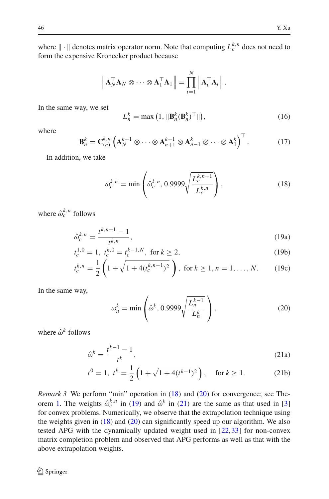where  $\| \cdot \|$  denotes matrix operator norm. Note that computing  $L_c^{k,n}$  does not need to form the expensive Kronecker product because

$$
\left\| \mathbf{A}_N^{\top} \mathbf{A}_N \otimes \cdots \otimes \mathbf{A}_1^{\top} \mathbf{A}_1 \right\| = \prod_{i=1}^N \left\| \mathbf{A}_i^{\top} \mathbf{A}_i \right\|.
$$

In the same way, we set

$$
L_n^k = \max\left(1, \|\mathbf{B}_n^k(\mathbf{B}_n^k)^\top\|\right),\tag{16}
$$

<span id="page-7-4"></span>where

$$
\mathbf{B}_{n}^{k} = \mathbf{C}_{(n)}^{k,n} \left( \mathbf{A}_{N}^{k-1} \otimes \cdots \otimes \mathbf{A}_{n+1}^{k-1} \otimes \mathbf{A}_{n-1}^{k} \otimes \cdots \otimes \mathbf{A}_{1}^{k} \right)^{\top}.
$$
 (17)

<span id="page-7-0"></span>In addition, we take

$$
\omega_c^{k,n} = \min\left(\hat{\omega}_c^{k,n}, 0.9999\sqrt{\frac{L_c^{k,n-1}}{L_c^{k,n}}}\right),\tag{18}
$$

<span id="page-7-2"></span>where  $\hat{\omega}_c^{k,n}$  follows

$$
\hat{\omega}_c^{k,n} = \frac{t^{k,n-1} - 1}{t^{k,n}},
$$
\n(19a)

$$
t_c^{1,0} = 1, \ t_c^{k,0} = t_c^{k-1,N}, \text{ for } k \ge 2,
$$
 (19b)

$$
t_c^{k,n} = \frac{1}{2} \left( 1 + \sqrt{1 + 4(t_c^{k,n-1})^2} \right), \text{ for } k \ge 1, n = 1, ..., N. \tag{19c}
$$

<span id="page-7-1"></span>In the same way,

$$
\omega_n^k = \min\left(\hat{\omega}^k, 0.9999\sqrt{\frac{L_n^{k-1}}{L_n^k}}\right),\tag{20}
$$

<span id="page-7-3"></span>where  $\hat{\omega}^k$  follows

$$
\hat{\omega}^k = \frac{t^{k-1} - 1}{t^k},\tag{21a}
$$

$$
t^0 = 1
$$
,  $t^k = \frac{1}{2} \left( 1 + \sqrt{1 + 4(t^{k-1})^2} \right)$ , for  $k \ge 1$ . (21b)

*Remark 3* We perform "min" operation in [\(18\)](#page-7-0) and [\(20\)](#page-7-1) for convergence; see The-orem [1.](#page-8-1) The weights  $\hat{\omega}_c^{k,n}$  in [\(19\)](#page-7-2) and  $\hat{\omega}^k$  in [\(21\)](#page-7-3) are the same as that used in [\[3\]](#page-30-4) for convex problems. Numerically, we observe that the extrapolation technique using the weights given in [\(18\)](#page-7-0) and [\(20\)](#page-7-1) can significantly speed up our algorithm. We also tested APG with the dynamically updated weight used in [\[22](#page-31-20)[,33](#page-31-21)] for non-convex matrix completion problem and observed that APG performs as well as that with the above extrapolation weights.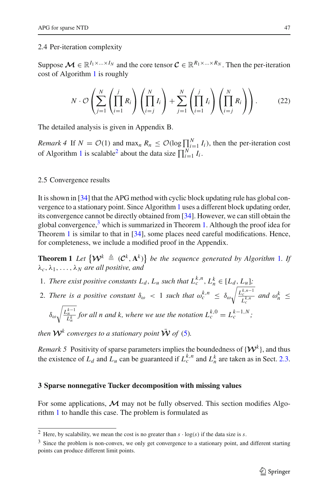#### 2.4 Per-iteration complexity

Suppose  $\mathcal{M} \in \mathbb{R}^{I_1 \times ... \times I_N}$  and the core tensor  $\mathcal{C} \in \mathbb{R}^{R_1 \times ... \times R_N}$ . Then the per-iteration cost of Algorithm [1](#page-6-0) is roughly

$$
N \cdot \mathcal{O}\left(\sum_{j=1}^N \left(\prod_{i=1}^j R_i\right) \left(\prod_{i=j}^N I_i\right) + \sum_{j=1}^N \left(\prod_{i=1}^j I_i\right) \left(\prod_{i=j}^N R_i\right)\right).
$$
 (22)

The detailed analysis is given in Appendix B.

*Remark 4* If  $N = \mathcal{O}(1)$  and  $\max_{n} R_n \leq \mathcal{O}(\log \prod_{i=1}^{N} I_i)$ , then the per-iteration cost of Algorithm [1](#page-6-0) is scalable<sup>2</sup> about the data size  $\prod_{i=1}^{N} I_i$ .

#### 2.5 Convergence results

It is shown in [\[34](#page-31-14)] that the APG method with cyclic block updating rule has global convergence to a stationary point. Since Algorithm [1](#page-6-0) uses a different block updating order, its convergence cannot be directly obtained from [\[34\]](#page-31-14). However, we can still obtain the global convergence, $3$  which is summarized in Theorem [1.](#page-8-1) Although the proof idea for Theorem [1](#page-8-1) is similar to that in [\[34\]](#page-31-14), some places need careful modifications. Hence, for completeness, we include a modified proof in the Appendix.

<span id="page-8-1"></span>**Theorem [1](#page-6-0)** Let  $\{W^k \triangleq (C^k, A^k)\}\$  be the sequence generated by Algorithm 1. If λ*c*, λ1,...,λ*<sup>N</sup> are all positive, and*

- 1. *There exist positive constants*  $L_d$ ,  $L_u$  *such that*  $L_c^{k,n}$ ,  $L_h^k \in [L_d, L_u]$ ;
- 2. *There is a positive constant*  $\delta_{\omega} < 1$  *such that*  $\omega_c^{k,n} \leq \delta_{\omega} \sqrt{\frac{L_c^{k,n-1}}{r^{k,n}}}$  $\frac{C_c}{L_c^{k,n}}$  *and*  $\omega_n^k \leq$

$$
\delta_{\omega} \sqrt{\frac{L_n^{k-1}}{L_n^k}} \text{ for all } n \text{ and } k, \text{ where we use the notation } L_c^{k,0} = L_c^{k-1,N};
$$

*then*  $W^k$  *converges to a stationary point*  $\overline{W}$  *of* [\(5\)](#page-3-1)*.* 

*Remark 5* Positivity of sparse parameters implies the boundedness of  $\{W^k\}$ , and thus the existence of  $L_d$  and  $L_u$  can be guaranteed if  $L_c^{k,n}$  and  $L_n^k$  are taken as in Sect. [2.3.](#page-6-4)

#### <span id="page-8-0"></span>**3 Sparse nonnegative Tucker decomposition with missing values**

For some applications,  $\mathcal M$  may not be fully observed. This section modifies Algorithm [1](#page-6-0) to handle this case. The problem is formulated as

<sup>&</sup>lt;sup>2</sup> Here, by scalability, we mean the cost is no greater than  $s \cdot \log(s)$  if the data size is *s*.

<span id="page-8-3"></span><span id="page-8-2"></span><sup>&</sup>lt;sup>3</sup> Since the problem is non-convex, we only get convergence to a stationary point, and different starting points can produce different limit points.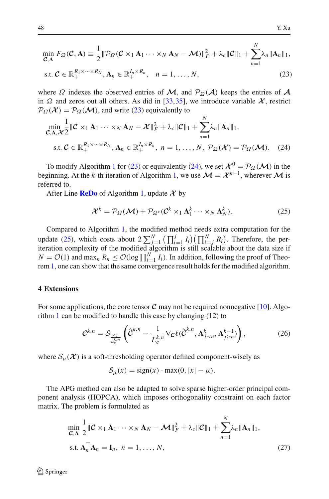<span id="page-9-1"></span>
$$
\min_{\mathcal{C},\mathbf{A}} F_{\Omega}(\mathcal{C},\mathbf{A}) \equiv \frac{1}{2} \|\mathcal{P}_{\Omega}(\mathcal{C} \times_1 \mathbf{A}_1 \cdots \times_N \mathbf{A}_N - \mathcal{M})\|_F^2 + \lambda_c \|\mathcal{C}\|_1 + \sum_{n=1}^N \lambda_n \|\mathbf{A}_n\|_1,
$$

$$
\text{s.t. } \mathcal{C} \in \mathbb{R}_+^{R_1 \times \dots \times R_N}, \mathbf{A}_n \in \mathbb{R}_+^{I_n \times R_n}, \quad n = 1, \dots, N,
$$
\n
$$
(23)
$$

where  $\Omega$  indexes the observed entries of  $\mathcal{M}$ , and  $\mathcal{P}_{\Omega}(\mathcal{A})$  keeps the entries of  $\mathcal{A}$ in  $\Omega$  and zeros out all others. As did in [\[33](#page-31-21)[,35](#page-31-22)], we introduce variable  $\mathcal{X}$ , restrict  $P_{\Omega}(\mathcal{X}) = P_{\Omega}(\mathcal{M})$ , and write [\(23\)](#page-9-1) equivalently to

<span id="page-9-2"></span>
$$
\min_{\mathcal{C}, \mathbf{A}, \mathcal{X}} \frac{1}{2} \|\mathcal{C} \times_1 \mathbf{A}_1 \cdots \times_N \mathbf{A}_N - \mathcal{X}\|_F^2 + \lambda_c \|\mathcal{C}\|_1 + \sum_{n=1}^N \lambda_n \|\mathbf{A}_n\|_1,
$$
  
s.t.  $\mathcal{C} \in \mathbb{R}_+^{R_1 \times \cdots \times R_N}$ ,  $\mathbf{A}_n \in \mathbb{R}_+^{I_n \times R_n}$ ,  $n = 1, ..., N$ ,  $\mathcal{P}_{\Omega}(\mathcal{X}) = \mathcal{P}_{\Omega}(\mathcal{M})$ . (24)

To modify Algorithm [1](#page-6-0) for [\(23\)](#page-9-1) or equivalently [\(24\)](#page-9-2), we set  $\mathcal{X}^0 = \mathcal{P}_{\Omega}(\mathcal{M})$  in the beginning. At the *k*-th iteration of Algorithm [1,](#page-6-0) we use  $\mathcal{M} = \mathcal{X}^{k-1}$ , wherever  $\mathcal{M}$  is referred to.

<span id="page-9-3"></span>After Line **[ReDo](#page-6-1)** of Algorithm [1,](#page-6-0) update *X* by

$$
\mathcal{X}^{k} = \mathcal{P}_{\Omega}(\mathcal{M}) + \mathcal{P}_{\Omega^{c}}(\mathcal{C}^{k} \times_{1} \mathbf{A}_{1}^{k} \cdots \times_{N} \mathbf{A}_{N}^{k}).
$$
\n(25)

Compared to Algorithm [1,](#page-6-0) the modified method needs extra computation for the update [\(25\)](#page-9-3), which costs about  $2\sum_{j=1}^{N} (\prod_{i=1}^{j} I_i)(\prod_{i=j}^{N} R_i)$ . Therefore, the periteration complexity of the modified algorithm is still scalable about the data size if  $N = \mathcal{O}(1)$  and  $\max_n R_n \leq \mathcal{O}(\log \prod_{i=1}^N I_i)$ . In addition, following the proof of Theorem [1,](#page-8-1) one can show that the same convergence result holds for the modified algorithm.

## <span id="page-9-0"></span>**4 Extensions**

For some applications, the core tensor  $C$  may not be required nonnegative [\[10\]](#page-30-5). Algorithm [1](#page-6-0) can be modified to handle this case by changing (12) to

$$
\mathcal{C}^{k,n} = \mathcal{S}_{\frac{\lambda_c}{L_c^{k,n}}} \left( \hat{\mathcal{C}}^{k,n} - \frac{1}{L_c^{k,n}} \nabla_{\mathcal{C}} \ell(\hat{\mathcal{C}}^{k,n}, \mathbf{A}_{j
$$

<span id="page-9-5"></span>where  $S_{\mu}(\mathcal{X})$  is a soft-thresholding operator defined component-wisely as

<span id="page-9-4"></span>
$$
S_{\mu}(x) = sign(x) \cdot max(0, |x| - \mu).
$$

The APG method can also be adapted to solve sparse higher-order principal component analysis (HOPCA), which imposes orthogonality constraint on each factor matrix. The problem is formulated as

$$
\min_{\mathcal{C}, \mathbf{A}} \frac{1}{2} \|\mathcal{C} \times_1 \mathbf{A}_1 \cdots \times_N \mathbf{A}_N - \mathcal{M}\|_F^2 + \lambda_c \|\mathcal{C}\|_1 + \sum_{n=1}^N \lambda_n \|\mathbf{A}_n\|_1,
$$
  
s.t.  $\mathbf{A}_n^\top \mathbf{A}_n = \mathbf{I}_n, n = 1, ..., N,$  (27)

 $\textcircled{2}$  Springer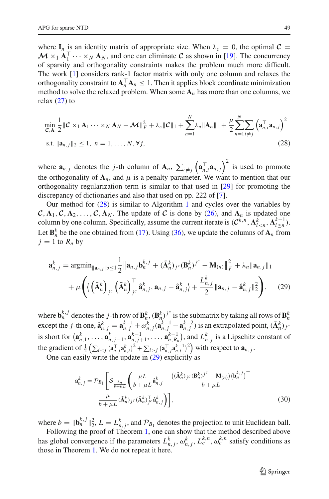where  $I_n$  is an identity matrix of appropriate size. When  $\lambda_c = 0$ , the optimal  $C =$  $M \times_1 \mathbf{A}_1^{\top} \cdots \times_N \mathbf{A}_N$ , and one can eliminate *C* as shown in [\[19\]](#page-31-18). The concurrency of sparsity and orthogonality constraints makes the problem much more difficult. The work [\[1](#page-30-3)] considers rank-1 factor matrix with only one column and relaxes the orthogonality constraint to  $\mathbf{A}_n^{\top} \mathbf{A}_n \leq 1$ . Then it applies block coordinate minimization method to solve the relaxed problem. When some  $A_n$  has more than one columns, we relax [\(27\)](#page-9-4) to

<span id="page-10-0"></span>
$$
\min_{\mathcal{C}, \mathbf{A}} \frac{1}{2} \|\mathcal{C} \times_1 \mathbf{A}_1 \cdots \times_N \mathbf{A}_N - \mathcal{M}\|_F^2 + \lambda_c \|\mathcal{C}\|_1 + \sum_{n=1}^N \lambda_n \|\mathbf{A}_n\|_1 + \frac{\mu}{2} \sum_{n=1}^N \sum_{i \neq j} \left(\mathbf{a}_{n,i}^\top \mathbf{a}_{n,j}\right)^2
$$
  
s.t.  $\|\mathbf{a}_{n,j}\|_2 \le 1, \ n = 1, \dots, N, \forall j,$  (28)

where  $\mathbf{a}_{n,j}$  denotes the *j*-th column of  $\mathbf{A}_n$ ,  $\sum_{i \neq j} (\mathbf{a}_{n,i}^\top \mathbf{a}_{n,j})^2$  is used to promote the orthogonality of  $A_n$ , and  $\mu$  is a penalty parameter. We want to mention that our orthogonality regularization term is similar to that used in [\[29](#page-31-23)] for promoting the discrepancy of dictionaries and also that used on pp. 222 of [\[7\]](#page-30-6).

Our method for [\(28\)](#page-10-0) is similar to Algorithm [1](#page-6-0) and cycles over the variables by  $C, A_1, C, A_2, \ldots, C, A_N$ . The update of *C* is done by [\(26\)](#page-9-5), and  $A_n$  is updated one column by one column. Specifically, assume the current iterate is  $(C^{k,n}, \mathbf{A}_{i \leq n}^{\bar{k}}, \mathbf{A}_{i \geq n}^{k-1})$ . Let  $\mathbf{B}_n^k$  be the one obtained from [\(17\)](#page-7-4). Using [\(36\)](#page-20-0), we update the columns of  $\mathbf{A}_n$  from  $j = 1$  to  $R_n$  by

$$
\mathbf{a}_{n,j}^{k} = \operatorname{argmin}_{\|\mathbf{a}_{n,j}\|_{2} \le 1} \frac{1}{2} \|\mathbf{a}_{n,j}\mathbf{b}_{n}^{k,j} + (\tilde{\mathbf{A}}_{n}^{k})_{j^{c}} (\mathbf{B}_{n}^{k})^{j^{c}} - \mathbf{M}_{(n)} \|_{F}^{2} + \lambda_{n} \|\mathbf{a}_{n,j}\|_{1} + \mu \left( \left( \tilde{\mathbf{A}}_{n}^{k} \right)_{j^{c}} \left( \tilde{\mathbf{A}}_{n}^{k} \right)_{j^{c}}^{\top} \hat{\mathbf{a}}_{n,j}^{k}, \mathbf{a}_{n,j} - \hat{\mathbf{a}}_{n,j}^{k} \right) + \frac{L_{n,j}^{k}}{2} \|\mathbf{a}_{n,j} - \hat{\mathbf{a}}_{n,j}^{k}\|_{2}^{2} \right), \quad (29)
$$

where  $\mathbf{b}_n^{k,j}$  denotes the *j*-th row of  $\mathbf{B}_n^k$ ,  $(\mathbf{B}_n^k)^{j^c}$  is the submatrix by taking all rows of  $\mathbf{B}_n^k$ <br>except the *j*-th one,  $\hat{\mathbf{a}}_{n,j}^k = \mathbf{a}_{n,j}^{k-1} + \omega_{n,j}^k (\mathbf{a}_{n,j}^{k-1} - \mathbf{a}_{n,j}^{k-2})$  is short for  $(\mathbf{a}_{n,1}^k, \ldots, \mathbf{a}_{n,j-1}^k, \mathbf{a}_{n,j+1}^{k-1}, \ldots, \mathbf{a}_{n,R_n}^{k-1})$ , and  $L_{n,j}^k$  is a Lipschitz constant of the gradient of  $\frac{1}{2} \left( \sum_{i < j} (\mathbf{a}_{n,j}^\top \mathbf{a}_{n,i}^k)^2 + \sum_{i > j} (\mathbf{a}_{n,j}^\top \mathbf{a}_{n,i}^{k-1})^2 \right)$  with respect to  $\mathbf{a}_{n,j}$ .

One can easily write the update in  $(29)$  explicitly as

<span id="page-10-2"></span><span id="page-10-1"></span>
$$
\mathbf{a}_{n,j}^k = \mathcal{P}_{B_1} \left[ \mathcal{S}_{\frac{\lambda_n}{b + \mu L}} \left( \frac{\mu L}{b + \mu L} \hat{\mathbf{a}}_{n,j}^k - \frac{((\tilde{\mathbf{A}}_n^k)_{j^c} (\mathbf{B}_n^k)^{j^c} - \mathbf{M}_{(n)}) (\mathbf{b}_n^{k,j})^\top}{b + \mu L} - \frac{\mu}{b + \mu L} (\tilde{\mathbf{A}}_n^k)_{j^c} (\tilde{\mathbf{A}}_n^k)^T \hat{\mathbf{a}}_{n,j}^k \right] \right],
$$
\n(30)

where  $b = \|\mathbf{b}_n^{k,j}\|_2^2$ ,  $L = L_{n,j}^k$ , and  $\mathcal{P}_{B_1}$  denotes the projection to unit Euclidean ball.

Following the proof of Theorem [1,](#page-8-1) one can show that the method described above has global convergence if the parameters  $L_{n,j}^k$ ,  $\omega_{n,j}^k$ ,  $L_c^{k,n}$ ,  $\omega_c^{k,n}$  satisfy conditions as those in Theorem [1.](#page-8-1) We do not repeat it here.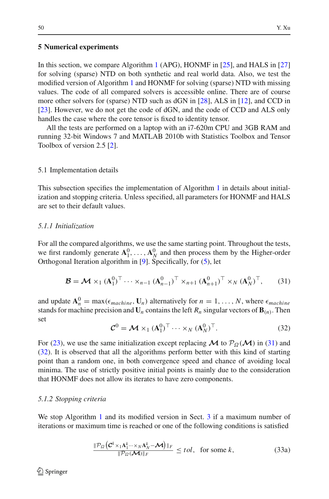## <span id="page-11-0"></span>**5 Numerical experiments**

In this section, we compare Algorithm [1](#page-6-0) (APG), HONMF in [\[25\]](#page-31-4), and HALS in [\[27\]](#page-31-9) for solving (sparse) NTD on both synthetic and real world data. Also, we test the modified version of Algorithm [1](#page-6-0) and HONMF for solving (sparse) NTD with missing values. The code of all compared solvers is accessible online. There are of course more other solvers for (sparse) NTD such as dGN in [\[28\]](#page-31-13), ALS in [\[12](#page-31-7)], and CCD in [\[23](#page-31-8)]. However, we do not get the code of dGN, and the code of CCD and ALS only handles the case where the core tensor is fixed to identity tensor.

All the tests are performed on a laptop with an i7-620m CPU and 3GB RAM and running 32-bit Windows 7 and MATLAB 2010b with Statistics Toolbox and Tensor Toolbox of version 2.5 [\[2\]](#page-30-7).

## 5.1 Implementation details

This subsection specifies the implementation of Algorithm [1](#page-6-0) in details about initialization and stopping criteria. Unless specified, all parameters for HONMF and HALS are set to their default values.

## *5.1.1 Initialization*

For all the compared algorithms, we use the same starting point. Throughout the tests, we first randomly generate  $A_1^0, \ldots, A_N^0$  and then process them by the Higher-order Orthogonal Iteration algorithm in [\[9\]](#page-30-8). Specifically, for [\(5\)](#page-3-1), let

$$
\mathcal{B} = \mathcal{M} \times_1 (\mathbf{A}_1^0)^\top \cdots \times_{n-1} (\mathbf{A}_{n-1}^0)^\top \times_{n+1} (\mathbf{A}_{n+1}^0)^\top \times_N (\mathbf{A}_N^0)^\top, \qquad (31)
$$

<span id="page-11-1"></span>and update  $\mathbf{A}_n^0 = \max(\epsilon_{machine}, \mathbf{U}_n)$  alternatively for  $n = 1, ..., N$ , where  $\epsilon_{machine}$ stands for machine precision and  $\mathbf{U}_n$  contains the left  $R_n$  singular vectors of  $\mathbf{B}_{(n)}$ . Then set

$$
\mathcal{C}^0 = \mathcal{M} \times_1 (\mathbf{A}_1^0)^\top \cdots \times_N (\mathbf{A}_N^0)^\top. \tag{32}
$$

<span id="page-11-2"></span>For [\(23\)](#page-9-1), we use the same initialization except replacing  $\mathcal M$  to  $\mathcal P_{\Omega}(\mathcal M)$  in [\(31\)](#page-11-1) and [\(32\)](#page-11-2). It is observed that all the algorithms perform better with this kind of starting point than a random one, in both convergence speed and chance of avoiding local minima. The use of strictly positive initial points is mainly due to the consideration that HONMF does not allow its iterates to have zero components.

#### *5.1.2 Stopping criteria*

We stop Algorithm [1](#page-6-0) and its modified version in Sect. [3](#page-8-0) if a maximum number of iterations or maximum time is reached or one of the following conditions is satisfied

$$
\frac{\|\mathcal{P}_{\Omega}\left(\mathcal{C}^k \times {}_{1}\mathbf{A}_1^k \cdots \times {}_{N}\mathbf{A}_N^k - \mathcal{M}\right)\|_F}{\|\mathcal{P}_{\Omega}(\mathcal{M})\|_F} \leq tol, \text{ for some } k,
$$
\n(33a)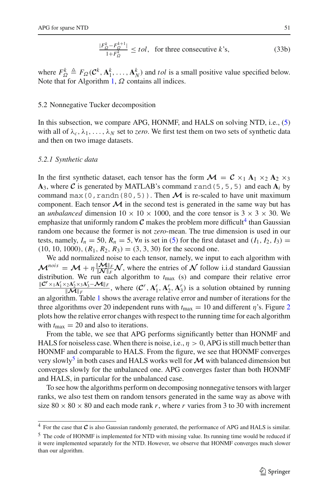$$
\frac{|F_{\Omega}^k - F_{\Omega}^{k+1}|}{1 + F_{\Omega}^k} \le tol, \text{ for three consecutive } k\text{'s},\tag{33b}
$$

where  $F_{\Omega}^k \triangleq F_{\Omega}(\mathcal{C}^k, \mathbf{A}_1^k, \dots, \mathbf{A}_N^k)$  and *tol* is a small positive value specified below. Note that for Algorithm [1,](#page-6-0)  $\Omega$  contains all indices.

#### 5.2 Nonnegative Tucker decomposition

In this subsection, we compare APG, HONMF, and HALS on solving NTD, i.e., [\(5\)](#page-3-1) with all of  $\lambda_c, \lambda_1, \ldots, \lambda_N$  set to *zero*. We first test them on two sets of synthetic data and then on two image datasets.

#### *5.2.1 Synthetic data*

In the first synthetic dataset, each tensor has the form  $\mathcal{M} = \mathcal{C} \times_1 \mathbf{A}_1 \times_2 \mathbf{A}_2 \times_3$  $A_3$ , where C is generated by MATLAB's command rand (5, 5, 5) and each  $A_i$  by command max(0, randn(80, 5)). Then  $\mathcal M$  is re-scaled to have unit maximum component. Each tensor  $\mathcal M$  in the second test is generated in the same way but has an *unbalanced* dimension  $10 \times 10 \times 1000$ , and the core tensor is  $3 \times 3 \times 30$ . We emphasize that uniformly random  $C$  makes the problem more difficult<sup>4</sup> than Gaussian random one because the former is not *zero*-mean. The true dimension is used in our tests, namely,  $I_n = 50$ ,  $R_n = 5$ ,  $\forall n$  is set in [\(5\)](#page-3-1) for the first dataset and  $(I_1, I_2, I_3)$  =  $(10, 10, 1000), (R_1, R_2, R_3) = (3, 3, 30)$  for the second one.

We add normalized noise to each tensor, namely, we input to each algorithm with  $\mathcal{M}^{nois} = \mathcal{M} + \eta \frac{\|\mathcal{M}\|_F}{\|\mathcal{N}\|_F} \mathcal{N}$ , where the entries of  $\mathcal N$  follow i.i.d standard Gaussian distribution. We run each algorithm to  $t_{\text{max}}$  (s) and compare their relative error  $\frac{\|\mathcal{C}^r \times_1 \mathbf{A}_1^r \times_2 \mathbf{A}_2^r \times_3 \mathbf{A}_3^r - \mathbf{M} \|_F}{\|\mathbf{M} \|_F}$ , where  $(\mathcal{C}^r, \mathbf{A}_1^r, \mathbf{A}_2^r, \mathbf{A}_3^r)$  is a solution obtained by running an algorithm. Table [1](#page-13-0) shows the average relative error and number of iterations for the three algorithms over [2](#page-13-1)0 independent runs with  $t_{\text{max}} = 10$  and different  $\eta$ 's. Figure 2 plots how the relative error changes with respect to the running time for each algorithm with  $t_{\text{max}} = 20$  and also to iterations.

From the table, we see that APG performs significantly better than HONMF and HALS for noiseless case. When there is noise, i.e.,  $\eta > 0$ , APG is still much better than HONMF and comparable to HALS. From the figure, we see that HONMF converges very slowly<sup>5</sup> in both cases and HALS works well for  $\cal{M}$  with balanced dimension but converges slowly for the unbalanced one. APG converges faster than both HONMF and HALS, in particular for the unbalanced case.

To see how the algorithms perform on decomposing nonnegative tensors with larger ranks, we also test them on random tensors generated in the same way as above with size  $80 \times 80 \times 80$  and each mode rank *r*, where *r* varies from 3 to 30 with increment

<sup>4</sup> For the case that *<sup>C</sup>* is also Gaussian randomly generated, the performance of APG and HALS is similar.

<span id="page-12-1"></span><span id="page-12-0"></span><sup>5</sup> The code of HONMF is implemented for NTD with missing value. Its running time would be reduced if it were implemented separately for the NTD. However, we observe that HONMF converges much slower than our algorithm.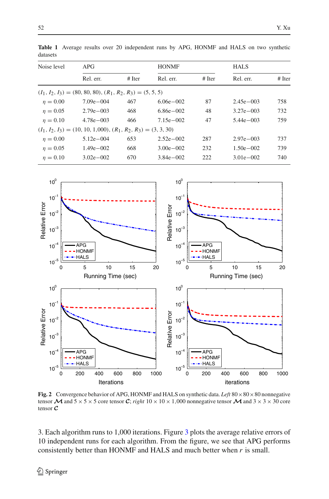<span id="page-13-0"></span>

| uatasets    |                                                                   |        |               |          |               |          |  |  |  |
|-------------|-------------------------------------------------------------------|--------|---------------|----------|---------------|----------|--|--|--|
| Noise level | APG                                                               |        | <b>HONMF</b>  |          | <b>HALS</b>   |          |  |  |  |
|             | Rel. err.                                                         | # Iter | Rel. err.     | $#$ Iter | Rel. err.     | $#$ Iter |  |  |  |
|             | $(I_1, I_2, I_3) = (80, 80, 80), (R_1, R_2, R_3) = (5, 5, 5)$     |        |               |          |               |          |  |  |  |
| $n = 0.00$  | $7.09e - 004$                                                     | 467    | $6.06e - 002$ | 87       | $2.45e - 003$ | 758      |  |  |  |
| $n = 0.05$  | $2.79e - 003$                                                     | 468    | $6.86e - 002$ | 48       | $3.27e - 003$ | 732      |  |  |  |
| $n = 0.10$  | $4.78e - 003$                                                     | 466    | $7.15e - 002$ | 47       | $5.44e - 003$ | 759      |  |  |  |
|             | $(I_1, I_2, I_3) = (10, 10, 1,000), (R_1, R_2, R_3) = (3, 3, 30)$ |        |               |          |               |          |  |  |  |
| $n = 0.00$  | $5.12e - 0.04$                                                    | 653    | $2.52e - 002$ | 287      | $2.97e - 003$ | 737      |  |  |  |
|             |                                                                   |        |               |          |               |          |  |  |  |

 $\eta = 0.05$  1.49e−002 668 3.00e−002 232 1.50e−002 739  $\eta = 0.10$  3.02e−002 670 3.84e−002 222 3.01e−002 740

**Table 1** Average results over 20 independent runs by APG, HONMF and HALS on two synthetic datasets



<span id="page-13-1"></span>**Fig. 2** Convergence behavior of APG, HONMF and HALS on synthetic data. Left  $80 \times 80 \times 80$  nonnegative tensor  $\mathcal{M}$  and  $5 \times 5 \times 5$  core tensor *C*; *right*  $10 \times 10 \times 1,000$  nonnegative tensor  $\mathcal{M}$  and  $3 \times 3 \times 30$  core tensor *C*

3. Each algorithm runs to 1,000 iterations. Figure [3](#page-14-0) plots the average relative errors of 10 independent runs for each algorithm. From the figure, we see that APG performs consistently better than HONMF and HALS and much better when *r* is small.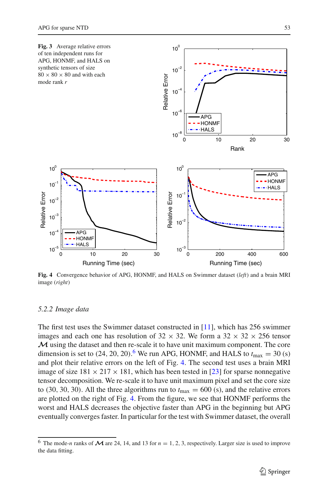<span id="page-14-0"></span>

<span id="page-14-2"></span>**Fig. 4** Convergence behavior of APG, HONMF, and HALS on Swimmer dataset (*left*) and a brain MRI image (*right*)

#### *5.2.2 Image data*

The first test uses the Swimmer dataset constructed in [\[11](#page-31-19)], which has 256 swimmer images and each one has resolution of  $32 \times 32$ . We form a  $32 \times 32 \times 256$  tensor *M* using the dataset and then re-scale it to have unit maximum component. The core dimension is set to  $(24, 20, 20)$ .<sup>[6](#page-14-1)</sup> We run APG, HONMF, and HALS to  $t_{\text{max}} = 30$  (s) and plot their relative errors on the left of Fig. [4.](#page-14-2) The second test uses a brain MRI image of size  $181 \times 217 \times 181$ , which has been tested in [\[23\]](#page-31-8) for sparse nonnegative tensor decomposition. We re-scale it to have unit maximum pixel and set the core size to (30, 30, 30). All the three algorithms run to  $t_{\text{max}} = 600$  (s), and the relative errors are plotted on the right of Fig. [4.](#page-14-2) From the figure, we see that HONMF performs the worst and HALS decreases the objective faster than APG in the beginning but APG eventually converges faster. In particular for the test with Swimmer dataset, the overall

<span id="page-14-1"></span><sup>&</sup>lt;sup>6</sup> The mode-*n* ranks of  $\mathcal M$  are 24, 14, and 13 for  $n = 1, 2, 3$ , respectively. Larger size is used to improve the data fitting.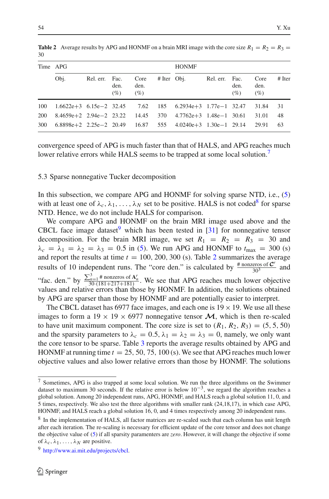| Time APG |                                                                          |                |             |                     |               | <b>HONMF</b>                  |                |             |                     |          |
|----------|--------------------------------------------------------------------------|----------------|-------------|---------------------|---------------|-------------------------------|----------------|-------------|---------------------|----------|
|          | Obj.                                                                     | Rel. err. Fac. | den.<br>(%) | Core<br>den.<br>(%) | $#$ Iter Obj. |                               | Rel. err. Fac. | den.<br>(%) | Core<br>den.<br>(%) | $#$ Iter |
| 100      | $1.6622e+3$ $6.15e-2$ $32.45$ $7.62$ $185$ $6.2934e+3$ $1.77e-1$ $32.47$ |                |             |                     |               |                               |                |             | 31.84               | -31      |
| 200      | $8.4659e+2$ 2.94e-2 23.22 14.45 370                                      |                |             |                     |               | $4.7762e+3$ $1.48e-1$ $30.61$ |                |             | 31.01               | 48       |
| 300      | $6.8898e+2$ 2.25e - 2 20.49 16.87 555 4.0240e + 3 1.30e - 1 29.14        |                |             |                     |               |                               |                |             | 29.91               | 63       |

<span id="page-15-3"></span>**Table 2** Average results by APG and HONMF on a brain MRI image with the core size  $R_1 = R_2 = R_3$ 30

convergence speed of APG is much faster than that of HALS, and APG reaches much lower relative errors while HALS seems to be trapped at some local solution.<sup>7</sup>

## 5.3 Sparse nonnegative Tucker decomposition

In this subsection, we compare APG and HONMF for solving sparse NTD, i.e., [\(5\)](#page-3-1) with at least one of  $\lambda_c, \lambda_1, \ldots, \lambda_N$  set to be positive. HALS is not coded<sup>8</sup> for sparse NTD. Hence, we do not include HALS for comparison.

We compare APG and HONMF on the brain MRI image used above and the CBCL face image dataset which has been tested in  $[31]$  $[31]$  for nonnegative tensor decomposition. For the brain MRI image, we set  $R_1 = R_2 = R_3 = 30$  and  $\lambda_c = \lambda_1 = \lambda_2 = \lambda_3 = 0.5$  in [\(5\)](#page-3-1). We run APG and HONMF to  $t_{\text{max}} = 300$  (s) and report the results at time  $t = 100, 200, 300$  $t = 100, 200, 300$  $t = 100, 200, 300$  (s). Table 2 summarizes the average results of 10 independent runs. The "core den." is calculated by  $\frac{\text{\# nonzeros of } C^r}{30^3}$  and "fac. den." by  $\frac{\sum_{n=1}^{3} \text{# nonzeros of } A_n^r}{30 \cdot (181 + 217 + 181)}$ . We see that APG reaches much lower objective values and relative errors than those by HONMF. In addition, the solutions obtained by APG are sparser than those by HONMF and are potentially easier to interpret.

The CBCL dataset has 6977 face images, and each one is  $19 \times 19$ . We use all these images to form a  $19 \times 19 \times 6977$  nonnegative tensor  $\mathcal{M}$ , which is then re-scaled to have unit maximum component. The core size is set to  $(R_1, R_2, R_3) = (5, 5, 50)$ and the sparsity parameters to  $\lambda_c = 0.5$ ,  $\lambda_1 = \lambda_2 = \lambda_3 = 0$ , namely, we only want the core tensor to be sparse. Table [3](#page-16-0) reports the average results obtained by APG and HONMF at running time  $t = 25, 50, 75, 100$  (s). We see that APG reaches much lower objective values and also lower relative errors than those by HONMF. The solutions

<span id="page-15-0"></span><sup>7</sup> Sometimes, APG is also trapped at some local solution. We run the three algorithms on the Swimmer dataset to maximum 30 seconds. If the relative error is below  $10^{-3}$ , we regard the algorithm reaches a global solution. Among 20 independent runs, APG, HONMF, and HALS reach a global solution 11, 0, and 5 times, respectively. We also test the three algorithms with smaller rank (24,18,17), in which case APG, HONMF, and HALS reach a global solution 16, 0, and 4 times respectively among 20 independent runs.

<span id="page-15-1"></span><sup>&</sup>lt;sup>8</sup> In the implementation of HALS, all factor matrices are re-scaled such that each column has unit length after each iteration. The re-scaling is necessary for efficient update of the core tensor and does not change the objective value of [\(5\)](#page-3-1) if all sparsity paramenters are *zero*. However, it will change the objective if some of  $\lambda_c$ ,  $\lambda_1$ , ...,  $\lambda_N$  are positive.

<span id="page-15-2"></span><sup>9</sup> [http://www.ai.mit.edu/projects/cbcl.](http://www.ai.mit.edu/projects/cbcl)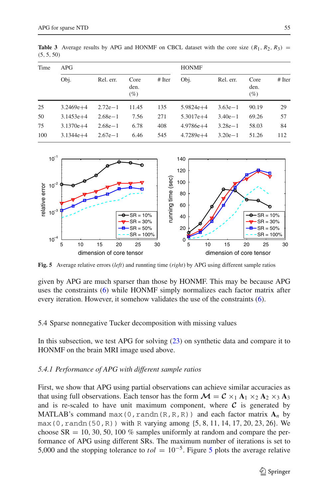| Time | APG         |           |                        | <b>HONMF</b> |               |           |                        |          |
|------|-------------|-----------|------------------------|--------------|---------------|-----------|------------------------|----------|
|      | Obj.        | Rel. err. | Core<br>den.<br>$(\%)$ | $#$ Iter     | Obj.          | Rel. err. | Core<br>den.<br>$(\%)$ | $#$ Iter |
| 25   | $3.2469e+4$ | $2.72e-1$ | 11.45                  | 135          | $5.9824e+4$   | $3.63e-1$ | 90.19                  | 29       |
| 50   | $3.1453e+4$ | $2.68e-1$ | 7.56                   | 271          | $5.3017e+4$   | $3.40e-1$ | 69.26                  | 57       |
| 75   | $3.1370e+4$ | $2.68e-1$ | 6.78                   | 408          | $4.9786e + 4$ | $3.28e-1$ | 58.03                  | 84       |
| 100  | $3.1344e+4$ | $2.67e-1$ | 6.46                   | 545          | $4.7289e+4$   | $3.20e-1$ | 51.26                  | 112      |

<span id="page-16-0"></span>**Table 3** Average results by APG and HONMF on CBCL dataset with the core size  $(R_1, R_2, R_3)$  = (5, 5, 50)



<span id="page-16-1"></span>**Fig. 5** Average relative errors (*left*) and runnting time (*right*) by APG using different sample ratios

given by APG are much sparser than those by HONMF. This may be because APG uses the constraints [\(6\)](#page-4-1) while HONMF simply normalizes each factor matrix after every iteration. However, it somehow validates the use of the constraints [\(6\)](#page-4-1).

5.4 Sparse nonnegative Tucker decomposition with missing values

In this subsection, we test APG for solving [\(23\)](#page-9-1) on synthetic data and compare it to HONMF on the brain MRI image used above.

#### *5.4.1 Performance of APG with different sample ratios*

First, we show that APG using partial observations can achieve similar accuracies as that using full observations. Each tensor has the form  $\mathcal{M} = \mathcal{C} \times_1 \mathbf{A}_1 \times_2 \mathbf{A}_2 \times_3 \mathbf{A}_3$ and is re-scaled to have unit maximum component, where  $C$  is generated by MATLAB's command max(0, randn(R,R,R)) and each factor matrix  $A_n$  by max(0, randn(50, R)) with R varying among  $\{5, 8, 11, 14, 17, 20, 23, 26\}$ . We choose  $SR = 10, 30, 50, 100\%$  samples uniformly at random and compare the performance of APG using different SRs. The maximum number of iterations is set to [5](#page-16-1),000 and the stopping tolerance to  $tol = 10^{-5}$ . Figure 5 plots the average relative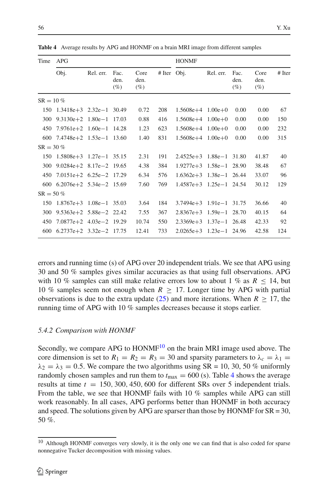<span id="page-17-1"></span>

| Time        | <b>APG</b>                                      |           |                        |                        |               |                             | <b>HONMF</b> |                        |                        |          |  |
|-------------|-------------------------------------------------|-----------|------------------------|------------------------|---------------|-----------------------------|--------------|------------------------|------------------------|----------|--|
|             | Obj.                                            | Rel. err. | Fac.<br>den.<br>$(\%)$ | Core<br>den.<br>$(\%)$ | $#$ Iter Obj. |                             | Rel. err.    | Fac.<br>den.<br>$(\%)$ | Core<br>den.<br>$(\%)$ | $#$ Iter |  |
| $SR = 10\%$ |                                                 |           |                        |                        |               |                             |              |                        |                        |          |  |
|             | $150 \quad 1.3418e+3 \quad 2.32e-1 \quad 30.49$ |           |                        | 0.72                   | 208           | $1.5608e+4$ $1.00e+0$       |              | 0.00                   | 0.00                   | 67       |  |
| 300         | $9.3130e + 2$ $1.80e - 1$ 17.03                 |           |                        | 0.88                   | 416           | $1.5608e+4$ $1.00e+0$       |              | 0.00                   | 0.00                   | 150      |  |
| 450         | $7.9761e+2$ 1.60e - 1 14.28                     |           |                        | 1.23                   | 623           | $1.5608e+4$ $1.00e+0$       |              | 0.00                   | 0.00                   | 232      |  |
|             | 600 7.4748e+2 1.53e-1 13.60                     |           |                        | 1.40                   | 831           | $1.5608e+4$ $1.00e+0$       |              | 0.00                   | 0.00                   | 315      |  |
| $SR = 30\%$ |                                                 |           |                        |                        |               |                             |              |                        |                        |          |  |
| 150         | $1.5808e+3$ $1.27e-1$ 35.15                     |           |                        | 2.31                   | 191           | $2.4525e+3$ $1.88e-1$ 31.80 |              |                        | 41.87                  | 40       |  |
| 300         | 9.0284e+2 8.17e-2 19.65                         |           |                        | 4.38                   | 384           | $1.9277e+3$ $1.58e-1$ 28.90 |              |                        | 38.48                  | 67       |  |
| 450         | $7.0151e+2$ 6.25e-2 17.29                       |           |                        | 6.34                   | 576           | $1.6362e+3$ $1.38e-1$ 26.44 |              |                        | 33.07                  | 96       |  |
|             | 600 $6.2076e+2$ 5.34e-2 15.69                   |           |                        | 7.60                   | 769           | $1.4587e+3$ $1.25e-1$ 24.54 |              |                        | 30.12                  | 129      |  |
| $SR = 50\%$ |                                                 |           |                        |                        |               |                             |              |                        |                        |          |  |
| 150         | $1.8767e+3$ $1.08e-1$ 35.03                     |           |                        | 3.64                   | 184           | $3.7494e+3$ 1.91e-1 31.75   |              |                        | 36.66                  | 40       |  |
| 300         | $9.5363e+2$ $5.88e-2$ 22.42                     |           |                        | 7.55                   | 367           | $2.8367e+3$ 1.59e - 1 28.70 |              |                        | 40.15                  | 64       |  |
| 450         | $7.0877e+2$ 4.03e-2 19.29                       |           |                        | 10.74                  | 550           | $2.3369e+3$ 1.37e - 1 26.48 |              |                        | 42.33                  | 92       |  |
|             | 600 $6.2737e+2$ $3.32e-2$ 17.75                 |           |                        | 12.41                  | 733           | $2.0265e+3$ 1.23e - 1 24.96 |              |                        | 42.58                  | 124      |  |

**Table 4** Average results by APG and HONMF on a brain MRI image from different samples

errors and running time (s) of APG over 20 independent trials. We see that APG using 30 and 50 % samples gives similar accuracies as that using full observations. APG with 10 % samples can still make relative errors low to about 1 % as  $R \le 14$ , but 10 % samples seem not enough when  $R \geq 17$ . Longer time by APG with partial observations is due to the extra update [\(25\)](#page-9-3) and more iterations. When  $R \geq 17$ , the running time of APG with 10 % samples decreases because it stops earlier.

#### *5.4.2 Comparison with HONMF*

Secondly, we compare APG to HONMF<sup>10</sup> on the brain MRI image used above. The core dimension is set to  $R_1 = R_2 = R_3 = 30$  and sparsity parameters to  $\lambda_c = \lambda_1 =$  $\lambda_2 = \lambda_3 = 0.5$ . We compare the two algorithms using SR = 10, 30, 50 % uniformly randomly chosen samples and run them to  $t_{\text{max}} = 600$  (s). Table [4](#page-17-1) shows the average results at time *t* = 150, 300, 450, 600 for different SRs over 5 independent trials. From the table, we see that HONMF fails with 10 % samples while APG can still work reasonably. In all cases, APG performs better than HONMF in both accuracy and speed. The solutions given by APG are sparser than those by HONMF for  $SR = 30$ , 50 %.

<span id="page-17-0"></span><sup>&</sup>lt;sup>10</sup> Although HONMF converges very slowly, it is the only one we can find that is also coded for sparse nonnegative Tucker decomposition with missing values.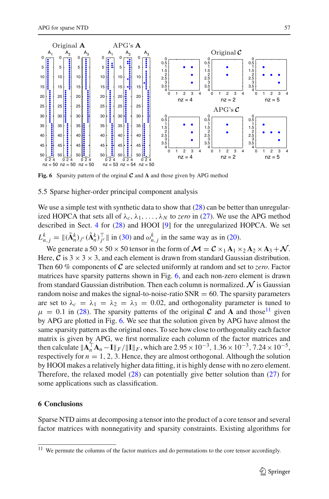

<span id="page-18-1"></span>**Fig. 6** Sparsity pattern of the orginal *C* and **A** and those given by APG method

#### 5.5 Sparse higher-order principal component analysis

We use a simple test with synthetic data to show that  $(28)$  can be better than unregularized HOPCA that sets all of  $\lambda_c$ ,  $\lambda_1$ , ...,  $\lambda_N$  to *zero* in [\(27\)](#page-9-4). We use the APG method described in Sect. [4](#page-9-0) for [\(28\)](#page-10-0) and HOOI [\[9](#page-30-8)] for the unregularized HOPCA. We set  $L_{n,j}^k = \|(\tilde{\mathbf{A}}_n^k)_{j} c(\tilde{\mathbf{A}}_n^k)_{j}^\top\|$  in [\(30\)](#page-10-2) and  $\omega_{n,j}^k$  in the same way as in [\(20\)](#page-7-1).

We generate a  $50 \times 50 \times 50$  tensor in the form of  $\mathcal{M} = \mathcal{C} \times_1 \mathbf{A}_1 \times_2 \mathbf{A}_2 \times \mathbf{A}_3 + \mathcal{N}$ . Here,  $\mathcal C$  is  $3 \times 3 \times 3$ , and each element is drawn from standard Gaussian distribution. Then 60 % components of *C* are selected uniformly at random and set to *zero*. Factor matrices have sparsity patterns shown in Fig. [6,](#page-18-1) and each non-zero element is drawn from standard Gaussian distribution. Then each column is normalized. *N* is Gaussian random noise and makes the signal-to-noise-ratio  $SNR = 60$ . The sparsity parameters are set to  $\lambda_c = \lambda_1 = \lambda_2 = \lambda_3 = 0.02$ , and orthogonality parameter is tuned to  $\mu = 0.1$  in [\(28\)](#page-10-0). The sparsity patterns of the original C and A and those<sup>11</sup> given by APG are plotted in Fig. [6.](#page-18-1) We see that the solution given by APG have almost the same sparsity pattern as the original ones. To see how close to orthogonality each factor matrix is given by APG, we first normalize each column of the factor matrices and then calculate  $||\mathbf{A}_n^{\top} \mathbf{A}_n - \mathbf{I}||_F / ||\mathbf{I}||_F$ , which are  $2.95 \times 10^{-3}$ ,  $1.36 \times 10^{-3}$ ,  $7.24 \times 10^{-5}$ , respectively for  $n = 1, 2, 3$ . Hence, they are almost orthogonal. Although the solution by HOOI makes a relatively higher data fitting, it is highly dense with no zero element. Therefore, the relaxed model [\(28\)](#page-10-0) can potentially give better solution than [\(27\)](#page-9-4) for some applications such as classification.

## <span id="page-18-0"></span>**6 Conclusions**

Sparse NTD aims at decomposing a tensor into the product of a core tensor and several factor matrices with nonnegativity and sparsity constraints. Existing algorithms for

<span id="page-18-2"></span> $11$  We permute the columns of the factor matrices and do permutations to the core tensor accordingly.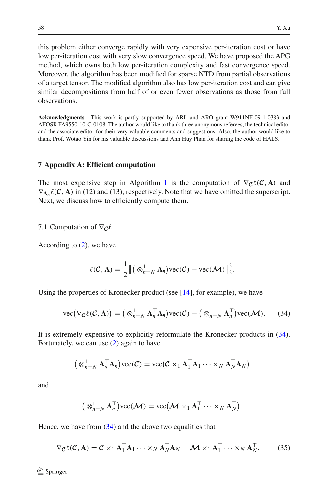this problem either converge rapidly with very expensive per-iteration cost or have low per-iteration cost with very slow convergence speed. We have proposed the APG method, which owns both low per-iteration complexity and fast convergence speed. Moreover, the algorithm has been modified for sparse NTD from partial observations of a target tensor. The modified algorithm also has low per-iteration cost and can give similar decompositions from half of or even fewer observations as those from full observations.

**Acknowledgments** This work is partly supported by ARL and ARO grant W911NF-09-1-0383 and AFOSR FA9550-10-C-0108. The author would like to thank three anonymous referees, the technical editor and the associate editor for their very valuable comments and suggestions. Also, the author would like to thank Prof. Wotao Yin for his valuable discussions and Anh Huy Phan for sharing the code of HALS.

#### **7 Appendix A: Efficient computation**

The most expensive step in Algorithm [1](#page-6-0) is the computation of  $\nabla$ *c* $\ell$  (*C*, **A**) and  $\nabla_{A_n} \ell(C, A)$  in (12) and (13), respectively. Note that we have omitted the superscript. Next, we discuss how to efficiently compute them.

7.1 Computation of  $\nabla_{\mathbf{C}} \ell$ 

According to [\(2\)](#page-3-2), we have

$$
\ell(\mathcal{C}, \mathbf{A}) = \frac{1}{2} \| (\otimes_{n=N}^{1} \mathbf{A}_{n}) \text{vec}(\mathcal{C}) - \text{vec}(\mathcal{M}) \|_{2}^{2}.
$$

<span id="page-19-0"></span>Using the properties of Kronecker product (see  $[14]$ , for example), we have

vec
$$
(\nabla_{\mathcal{C}} \ell(\mathcal{C}, \mathbf{A})) = (\otimes_{n=N}^{1} \mathbf{A}_{n}^{\top} \mathbf{A}_{n}) \text{vec}(\mathcal{C}) - (\otimes_{n=N}^{1} \mathbf{A}_{n}^{\top}) \text{vec}(\mathcal{M}).
$$
 (34)

It is extremely expensive to explicitly reformulate the Kronecker products in [\(34\)](#page-19-0). Fortunately, we can use [\(2\)](#page-3-2) again to have

$$
(\otimes_{n=N}^1 \mathbf{A}_n^{\top} \mathbf{A}_n) \text{vec}(\mathcal{C}) = \text{vec}(\mathcal{C} \times_1 \mathbf{A}_1^{\top} \mathbf{A}_1 \cdots \times_N \mathbf{A}_N^{\top} \mathbf{A}_N)
$$

and

$$
(\otimes_{n=N}^1 \mathbf{A}_n^\top)\text{vec}(\mathcal{M}) = \text{vec}\big(\mathcal{M} \times_1 \mathbf{A}_1^\top \cdots \times_N \mathbf{A}_N^\top\big).
$$

<span id="page-19-1"></span>Hence, we have from  $(34)$  and the above two equalities that

$$
\nabla_{\mathcal{C}} \ell(\mathcal{C}, \mathbf{A}) = \mathcal{C} \times_1 \mathbf{A}_1^\top \mathbf{A}_1 \cdots \times_N \mathbf{A}_N^\top \mathbf{A}_N - \mathcal{M} \times_1 \mathbf{A}_1^\top \cdots \times_N \mathbf{A}_N^\top. \tag{35}
$$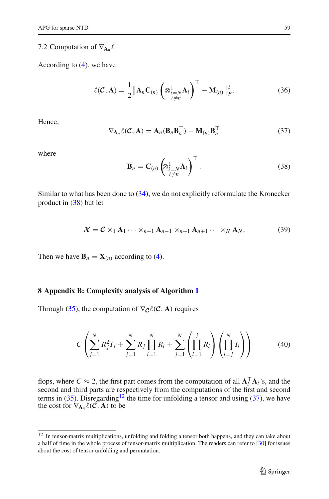## 7.2 Computation of  $\nabla_{\mathbf{A}_n} \ell$

<span id="page-20-0"></span>According to [\(4\)](#page-3-3), we have

$$
\ell(\mathcal{C}, \mathbf{A}) = \frac{1}{2} \left\| \mathbf{A}_n \mathbf{C}_{(n)} \left( \otimes_{\substack{i=N \\ i \neq n}}^1 \mathbf{A}_i \right)^{\top} - \mathbf{M}_{(n)} \right\|_F^2.
$$
 (36)

<span id="page-20-3"></span>Hence,

$$
\nabla_{\mathbf{A}_n} \ell(C, \mathbf{A}) = \mathbf{A}_n(\mathbf{B}_n \mathbf{B}_n^\top) - \mathbf{M}_{(n)} \mathbf{B}_n^\top
$$
\n(37)

<span id="page-20-1"></span>where

$$
\mathbf{B}_n = \mathbf{C}_{(n)} \left( \otimes_{\substack{i=N \\ i \neq n}}^1 \mathbf{A}_i \right)^{\top} . \tag{38}
$$

Similar to what has been done to [\(34\)](#page-19-0), we do not explicitly reformulate the Kronecker product in [\(38\)](#page-20-1) but let

$$
\mathcal{X} = \mathcal{C} \times_1 \mathbf{A}_1 \cdots \times_{n-1} \mathbf{A}_{n-1} \times_{n+1} \mathbf{A}_{n+1} \cdots \times_N \mathbf{A}_N.
$$
 (39)

<span id="page-20-5"></span>Then we have  $\mathbf{B}_n = \mathbf{X}_{(n)}$  according to [\(4\)](#page-3-3).

#### **8 Appendix B: Complexity analysis of Algorithm [1](#page-6-0)**

<span id="page-20-4"></span>Through [\(35\)](#page-19-1), the computation of  $\nabla_{\mathcal{C}} \ell(\mathcal{C}, \mathbf{A})$  requires

$$
C\left(\sum_{j=1}^{N} R_j^2 I_j + \sum_{j=1}^{N} R_j \prod_{i=1}^{N} R_i + \sum_{j=1}^{N} \left(\prod_{i=1}^{j} R_i\right) \left(\prod_{i=j}^{N} I_i\right)\right)
$$
(40)

flops, where  $C \approx 2$ , the first part comes from the computation of all  $A_i^T A_i$ 's, and the second and third parts are respectively from the computations of the first and second terms in [\(35\)](#page-19-1). Disregarding<sup>12</sup> the time for unfolding a tensor and using [\(37\)](#page-20-3), we have the cost for  $\nabla_{\mathbf{A}_n} \ell(\mathcal{C}, \mathbf{A})$  to be

<span id="page-20-2"></span><sup>&</sup>lt;sup>12</sup> In tensor-matrix multiplications, unfolding and folding a tensor both happens, and they can take about a half of time in the whole process of tensor-matrix multiplication. The readers can refer to [\[30](#page-31-26)] for issues about the cost of tensor unfolding and permutation.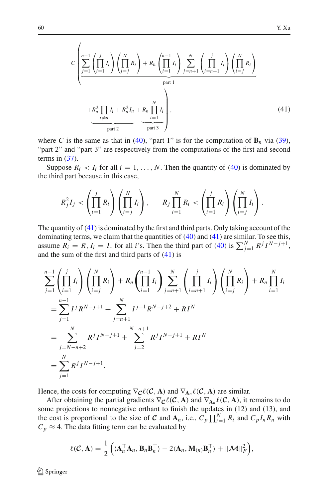<span id="page-21-0"></span>
$$
C\left(\sum_{i=1}^{n-1} \left(\prod_{i=1}^{j} I_i\right) \left(\prod_{i=j}^{N} R_i\right) + R_n \left(\prod_{i=1}^{n-1} I_i\right) \sum_{j=n+1}^{N} \left(\prod_{i=n+1}^{j} I_i\right) \left(\prod_{i=j}^{N} R_i\right) \right)
$$

$$
+ R_n^2 \prod_{\substack{i \neq n}} I_i + R_n^2 I_n + R_n \prod_{i=1}^{N} I_i \right),
$$

$$
\underbrace{\left(\prod_{i=1}^{N} I_i + R_n^2 I_n\right)}_{\text{part } 2} + \underbrace{\left(\prod_{i=1}^{N} I_i\right)}_{\text{part } 3},
$$
(41)

where *C* is the same as that in [\(40\)](#page-20-4), "part 1" is for the computation of  $\mathbf{B}_n$  via [\(39\)](#page-20-5), "part 2" and "part 3" are respectively from the computations of the first and second terms in  $(37)$ .

Suppose  $R_i < I_i$  for all  $i = 1, ..., N$ . Then the quantity of [\(40\)](#page-20-4) is dominated by the third part because in this case,

$$
R_j^2 I_j < \left(\prod_{i=1}^j R_i\right) \left(\prod_{i=j}^N I_i\right), \qquad R_j \prod_{i=1}^N R_i < \left(\prod_{i=1}^j R_i\right) \left(\prod_{i=j}^N I_i\right).
$$

The quantity of [\(41\)](#page-21-0) is dominated by the first and third parts. Only taking account of the dominating terms, we claim that the quantities of [\(40\)](#page-20-4) and [\(41\)](#page-21-0) are similar. To see this, assume  $R_i = R$ ,  $I_i = I$ , for all *i*'s. Then the third part of [\(40\)](#page-20-4) is  $\sum_{j=1}^{N} R^j I^{N-j+1}$ , and the sum of the first and third parts of  $(41)$  is

$$
\sum_{j=1}^{n-1} \left( \prod_{i=1}^{j} I_i \right) \left( \prod_{i=j}^{N} R_i \right) + R_n \left( \prod_{i=1}^{n-1} I_i \right) \sum_{j=n+1}^{N} \left( \prod_{i=n+1}^{j} I_i \right) \left( \prod_{i=j}^{N} R_i \right) + R_n \prod_{i=1}^{N} I_i
$$
\n
$$
= \sum_{j=1}^{n-1} I^j R^{N-j+1} + \sum_{j=n+1}^{N} I^{j-1} R^{N-j+2} + R I^N
$$
\n
$$
= \sum_{j=N-n+2}^{N} R^j I^{N-j+1} + \sum_{j=2}^{N-n+1} R^j I^{N-j+1} + R I^N
$$
\n
$$
= \sum_{j=1}^{N} R^j I^{N-j+1}.
$$

Hence, the costs for computing  $\nabla_{\mathbf{C}} \ell(\mathbf{C}, \mathbf{A})$  and  $\nabla_{\mathbf{A}_n} \ell(\mathbf{C}, \mathbf{A})$  are similar.

After obtaining the partial gradients  $\nabla_{\mathcal{C}} \ell(\mathcal{C}, \mathbf{A})$  and  $\nabla_{\mathbf{A}_n} \ell(\mathcal{C}, \mathbf{A})$ , it remains to do some projections to nonnegative orthant to finish the updates in (12) and (13), and the cost is proportional to the size of *C* and  $A_n$ , i.e.,  $C_p \prod_{i=1}^N R_i$  and  $C_p I_n R_n$  with  $C_p \approx 4$ . The data fitting term can be evaluated by

$$
\ell(C, \mathbf{A}) = \frac{1}{2} \left( \langle \mathbf{A}_n^{\top} \mathbf{A}_n, \mathbf{B}_n \mathbf{B}_n^{\top} \rangle - 2 \langle \mathbf{A}_n, \mathbf{M}_{(n)} \mathbf{B}_n^{\top} \rangle + ||\mathbf{M}||_F^2 \right),
$$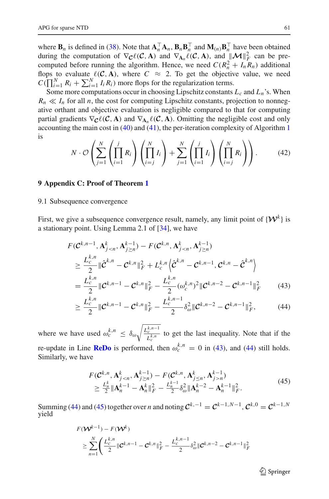where  $\mathbf{B}_n$  is defined in [\(38\)](#page-20-1). Note that  $\mathbf{A}_n^{\top} \mathbf{A}_n$ ,  $\mathbf{B}_n \mathbf{B}_n^{\top}$  and  $\mathbf{M}_{(n)} \mathbf{B}_n^{\top}$  have been obtained during the computation of  $\nabla_{\mathbf{C}} \ell(\mathbf{C}, \mathbf{A})$  and  $\nabla_{\mathbf{A}_n} \ell(\mathbf{C}, \mathbf{A})$ , and  $\|\mathbf{M}\|_F^2$  can be precomputed before running the algorithm. Hence, we need  $C(R_n^2 + I_n R_n)$  additional flops to evaluate  $\ell(C, A)$ , where  $C \approx 2$ . To get the objective value, we need  $C(\prod_{i=1}^{N} R_i + \sum_{i=1}^{N} I_i R_i)$  more flops for the regularization terms.

Some more computations occur in choosing Lipschitz constants  $L_c$  and  $L_n$ 's. When  $R_n \ll I_n$  for all *n*, the cost for computing Lipschitz constants, projection to nonnegative orthant and objective evaluation is negligible compared to that for computing partial gradients  $\nabla_{\mathbf{C}} \ell(\mathbf{C}, \mathbf{A})$  and  $\nabla_{\mathbf{A}_n} \ell(\mathbf{C}, \mathbf{A})$ . Omitting the negligible cost and only accounting the main cost in [\(40\)](#page-20-4) and [\(41\)](#page-21-0), the per-iteration complexity of Algorithm [1](#page-6-0) is

$$
N \cdot \mathcal{O}\left(\sum_{j=1}^N \left(\prod_{i=1}^j R_i\right) \left(\prod_{i=j}^N I_i\right) + \sum_{j=1}^N \left(\prod_{i=1}^j I_i\right) \left(\prod_{i=j}^N R_i\right)\right).
$$
(42)

## **9 Appendix C: Proof of Theorem [1](#page-8-1)**

## 9.1 Subsequence convergence

First, we give a subsequence convergence result, namely, any limit point of  $\{W^k\}$  is a stationary point. Using Lemma 2.1 of [\[34](#page-31-14)], we have

$$
F(C^{k,n-1}, \mathbf{A}_{j  
\n
$$
\geq \frac{L_c^{k,n}}{2} ||\hat{C}^{k,n} - C^{k,n}||_F^2 + L_c^{k,n} \left\langle \hat{C}^{k,n} - C^{k,n-1}, C^{k,n} - \hat{C}^{k,n} \right\rangle
$$
  
\n
$$
= \frac{L_c^{k,n}}{2} ||C^{k,n-1} - C^{k,n}||_F^2 - \frac{L_c^{k,n}}{2} (\omega_c^{k,n})^2 ||C^{k,n-2} - C^{k,n-1}||_F^2
$$
(43)
$$

<span id="page-22-1"></span><span id="page-22-0"></span>
$$
\geq \frac{L_c^{k,n}}{2} \|\mathcal{C}^{k,n-1} - \mathcal{C}^{k,n}\|_F^2 - \frac{L_c^{k,n-1}}{2} \delta_\omega^2 \|\mathcal{C}^{k,n-2} - \mathcal{C}^{k,n-1}\|_F^2, \tag{44}
$$

where we have used  $\omega_c^{k,n} \leq \delta_{\omega} \sqrt{\frac{L_c^{k,n-1}}{r^{k,n}}}$  $\frac{C_{L,k,n}^{(r)}}{L_c^{(k,n)}}$  to get the last inequality. Note that if the re-update in Line **[ReDo](#page-6-1)** is performed, then  $\omega_c^{k,n} = 0$  in [\(43\)](#page-22-0), and [\(44\)](#page-22-1) still holds. Similarly, we have

$$
F(C^{k,n}, \mathbf{A}_{j \le n}^k, \mathbf{A}_{j \ge n}^{k-1}) - F(C^{k,n}, \mathbf{A}_{j \le n}^k, \mathbf{A}_{j > n}^{k-1})
$$
  
\n
$$
\ge \frac{L_n^k}{2} ||\mathbf{A}_n^{k-1} - \mathbf{A}_n^k||_F^2 - \frac{L_n^{k-1}}{2} \delta_\omega^2 ||\mathbf{A}_n^{k-2} - \mathbf{A}_n^{k-1}||_F^2.
$$
\n(45)

<span id="page-22-2"></span>Summing [\(44\)](#page-22-1) and [\(45\)](#page-22-2) together over *n* and noting  $C^{k,-1} = C^{k-1,N-1}$ ,  $C^{k,0} = C^{k-1,N}$ yield

$$
F(\mathbf{W}^{k-1}) - F(\mathbf{W}^{k})
$$
  
\n
$$
\geq \sum_{n=1}^{N} \left( \frac{L_{c}^{k,n}}{2} \|\mathbf{C}^{k,n-1} - \mathbf{C}^{k,n} \|_{F}^{2} - \frac{L_{c}^{k,n-1}}{2} \delta_{\omega}^{2} \|\mathbf{C}^{k,n-2} - \mathbf{C}^{k,n-1} \|_{F}^{2} \right)
$$

 $\mathcal{L}$  Springer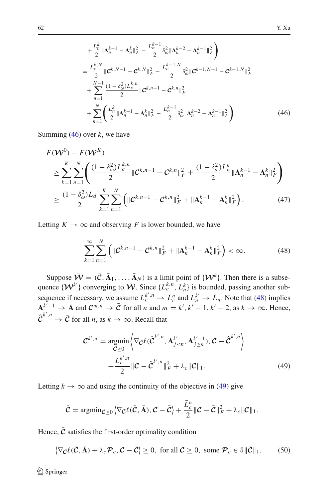<span id="page-23-0"></span>
$$
+\frac{L_{n}^{k}}{2}||\mathbf{A}_{n}^{k-1} - \mathbf{A}_{n}^{k}||_{F}^{2} - \frac{L_{n}^{k-1}}{2}\delta_{\omega}^{2}||\mathbf{A}_{n}^{k-2} - \mathbf{A}_{n}^{k-1}||_{F}^{2}
$$
\n
$$
=\frac{L_{c}^{k,N}}{2}||\mathbf{C}^{k,N-1} - \mathbf{C}^{k,N}||_{F}^{2} - \frac{L_{c}^{k-1,N}}{2}\delta_{\omega}^{2}||\mathbf{C}^{k-1,N-1} - \mathbf{C}^{k-1,N}||_{F}^{2}
$$
\n
$$
+\sum_{n=1}^{N-1} \frac{(1-\delta_{\omega}^{2})L_{c}^{k,n}}{2}||\mathbf{C}^{k,n-1} - \mathbf{C}^{k,n}||_{F}^{2}
$$
\n
$$
+\sum_{n=1}^{N} \left(\frac{L_{n}^{k}}{2}||\mathbf{A}_{n}^{k-1} - \mathbf{A}_{n}^{k}||_{F}^{2} - \frac{L_{n}^{k-1}}{2}\delta_{\omega}^{2}||\mathbf{A}_{n}^{k-2} - \mathbf{A}_{n}^{k-1}||_{F}^{2}\right).
$$
\n(46)

Summing [\(46\)](#page-23-0) over *k*, we have

$$
F(\mathcal{W}^{0}) - F(\mathcal{W}^{K})
$$
  
\n
$$
\geq \sum_{k=1}^{K} \sum_{n=1}^{N} \left( \frac{(1 - \delta_{\omega}^{2}) L_{c}^{k,n}}{2} \| \mathcal{C}^{k,n-1} - \mathcal{C}^{k,n} \|_{F}^{2} + \frac{(1 - \delta_{\omega}^{2}) L_{n}^{k}}{2} \| \mathbf{A}_{n}^{k-1} - \mathbf{A}_{n}^{k} \|_{F}^{2} \right)
$$
  
\n
$$
\geq \frac{(1 - \delta_{\omega}^{2}) L_{d}}{2} \sum_{k=1}^{K} \sum_{n=1}^{N} \left( \| \mathcal{C}^{k,n-1} - \mathcal{C}^{k,n} \|_{F}^{2} + \| \mathbf{A}_{n}^{k-1} - \mathbf{A}_{n}^{k} \|_{F}^{2} \right).
$$
 (47)

Letting  $K \to \infty$  and observing *F* is lower bounded, we have

$$
\sum_{k=1}^{\infty} \sum_{n=1}^{N} \left( \| \mathcal{C}^{k,n-1} - \mathcal{C}^{k,n} \|_{F}^{2} + \| \mathbf{A}_{n}^{k-1} - \mathbf{A}_{n}^{k} \|_{F}^{2} \right) < \infty. \tag{48}
$$

<span id="page-23-1"></span>Suppose  $\bar{\mathbf{W}} = (\bar{\mathbf{C}}, \bar{\mathbf{A}}_1, \dots, \bar{\mathbf{A}}_N)$  is a limit point of  $\{\mathbf{W}^k\}$ . Then there is a subsequence  $\{W^{k'}\}$  converging to  $\overline{W}$ . Since  $\{L_c^{k,n}, L_n^k\}$  is bounded, passing another subsequence if necessary, we assume  $L_c^{k',n} \to \bar{L}_c^n$  and  $L_n^{k'} \to \bar{L}_n$ . Note that [\(48\)](#page-23-1) implies  $\mathbf{A}_{k}^{k-1} \to \bar{\mathbf{A}}$  and  $\mathcal{C}^{m,n} \to \bar{\mathcal{C}}$  for all *n* and  $m = k', k' - 1, k' - 2$ , as  $k \to \infty$ . Hence,  $\hat{\mathcal{C}}^{k',n} \to \bar{\mathcal{C}}$  for all *n*, as  $k \to \infty$ . Recall that

$$
\mathcal{C}^{k',n} = \underset{\mathcal{C} \ge 0}{\operatorname{argmin}} \left\langle \nabla_{\mathcal{C}} \ell(\hat{\mathcal{C}}^{k',n}, \mathbf{A}_{j
$$
+ \frac{L_c^{k',n}}{2} \|\mathcal{C} - \hat{\mathcal{C}}^{k',n}\|_F^2 + \lambda_c \|\mathcal{C}\|_1. \tag{49}
$$
$$

<span id="page-23-2"></span>Letting  $k \to \infty$  and using the continuity of the objective in [\(49\)](#page-23-2) give

$$
\bar{\mathcal{C}} = \operatorname{argmin}_{\mathcal{C} \geq 0} \left\langle \nabla_{\mathcal{C}} \ell(\bar{\mathcal{C}}, \bar{\mathbf{A}}), \mathcal{C} - \bar{\mathcal{C}} \right\rangle + \frac{\bar{L}_{c}^{n}}{2} \|\mathcal{C} - \bar{\mathcal{C}}\|_{F}^{2} + \lambda_{c} \|\mathcal{C}\|_{1}.
$$

<span id="page-23-3"></span>Hence,  $\bar{c}$  satisfies the first-order optimality condition

$$
\left\langle \nabla_{\mathcal{C}} \ell(\bar{\mathcal{C}}, \bar{\mathbf{A}}) + \lambda_c \mathcal{P}_c, \mathcal{C} - \bar{\mathcal{C}} \right\rangle \ge 0, \text{ for all } \mathcal{C} \ge 0, \text{ some } \mathcal{P}_c \in \partial \| \bar{\mathcal{C}} \|_1. \tag{50}
$$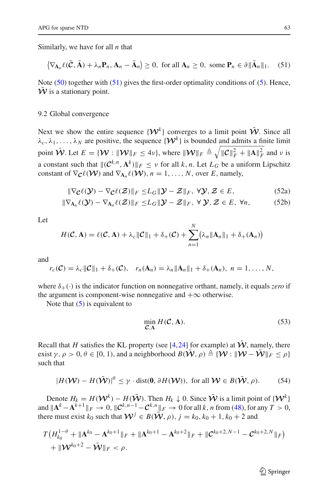<span id="page-24-0"></span>Similarly, we have for all *n* that

$$
\left\langle \nabla_{\mathbf{A}_n} \ell(\bar{\mathbf{C}}, \bar{\mathbf{A}}) + \lambda_n \mathbf{P}_n, \mathbf{A}_n - \bar{\mathbf{A}}_n \right\rangle \ge 0, \text{ for all } \mathbf{A}_n \ge 0, \text{ some } \mathbf{P}_n \in \partial \| \bar{\mathbf{A}}_n \|_1. \tag{51}
$$

Note [\(50\)](#page-23-3) together with [\(51\)](#page-24-0) gives the first-order optimality conditions of [\(5\)](#page-3-1). Hence,  $W$  is a stationary point.

#### 9.2 Global convergence

Next we show the entire sequence  $\{W^k\}$  converges to a limit point  $\overline{W}$ . Since all  $\lambda_c, \lambda_1, \ldots, \lambda_N$  are positive, the sequence  $\{W^k\}$  is bounded and admits a finite limit point  $\tilde{W}$ . Let  $E = \{ W : ||W||_F \le 4\nu \}$ , where  $||W||_F \triangleq \sqrt{||\mathcal{C}||_F^2 + ||\mathbf{A}||_F^2}$  and  $\nu$  is a constant such that  $\|(\mathcal{C}^{k,n}, \mathbf{A}^k)\|_F \leq \nu$  for all *k*, *n*. Let  $L_G$  be a uniform Lipschitz constant of  $\nabla_{\mathcal{C}} \ell(\mathcal{W})$  and  $\nabla_{A_n} \ell(\mathcal{W}), n = 1, ..., N$ , over *E*, namely,

<span id="page-24-2"></span>
$$
\|\nabla_{\mathcal{C}}\ell(\mathcal{Y}) - \nabla_{\mathcal{C}}\ell(\mathcal{Z})\|_{F} \leq L_G \|\mathcal{Y} - \mathcal{Z}\|_{F}, \ \forall \mathcal{Y}, \mathcal{Z} \in E,
$$
\n(52a)

$$
\|\nabla_{\mathbf{A}_n}\ell(\mathbf{Y}) - \nabla_{\mathbf{A}_n}\ell(\mathbf{Z})\|_F \le L_G \|\mathbf{Y} - \mathbf{Z}\|_F, \ \forall \mathbf{Y}, \mathbf{Z} \in E, \ \forall n,
$$
 (52b)

Let

$$
H(C, \mathbf{A}) = \ell(C, \mathbf{A}) + \lambda_c ||C||_1 + \delta_+(C) + \sum_{n=1}^N (\lambda_n ||\mathbf{A}_n||_1 + \delta_+(\mathbf{A}_n))
$$

and

$$
r_c(\mathcal{C}) = \lambda_c \|\mathcal{C}\|_1 + \delta_+(\mathcal{C}), \quad r_n(\mathbf{A}_n) = \lambda_n \|\mathbf{A}_n\|_1 + \delta_+(\mathbf{A}_n), \quad n = 1, \ldots, N,
$$

where  $\delta_+(\cdot)$  is the indicator function on nonnegative orthant, namely, it equals *zero* if the argument is component-wise nonnegative and  $+\infty$  otherwise.

Note that  $(5)$  is equivalent to

$$
\min_{\mathcal{C}, \mathbf{A}} H(\mathcal{C}, \mathbf{A}).
$$
\n(53)

Recall that *H* satisfies the KL property (see [\[4](#page-30-9)[,24](#page-31-27)] for example) at  $\tilde{W}$ , namely, there exist  $\gamma, \rho > 0, \theta \in [0, 1)$ , and a neighborhood  $B(\bar{W}, \rho) \triangleq {\hat{W} : ||W - \bar{W}||_F \leq \rho}$ such that

$$
|H(\mathcal{W}) - H(\bar{\mathcal{W}})|^{\theta} \leq \gamma \cdot \text{dist}(0, \partial H(\mathcal{W})), \text{ for all } \mathcal{W} \in B(\bar{\mathcal{W}}, \rho). \tag{54}
$$

<span id="page-24-1"></span>Denote  $H_k = H(\mathcal{W}^k) - H(\bar{\mathcal{W}})$ . Then  $H_k \downarrow 0$ . Since  $\bar{\mathcal{W}}$  is a limit point of  $\{\mathcal{W}^k\}$ and  $||A^k - A^{k+1}||_F \to 0$ ,  $||\mathcal{C}^{k,n-1} - \mathcal{C}^{k,n}||_F \to 0$  for all k, *n* from [\(48\)](#page-23-1), for any  $T > 0$ , there must exist  $k_0$  such that  $W^j \in B(\bar{W}, \rho)$ ,  $j = k_0, k_0 + 1, k_0 + 2$  and

$$
T\left(H_{k_0}^{1-\theta} + \|\mathbf{A}^{k_0} - \mathbf{A}^{k_0+1}\|_F + \|\mathbf{A}^{k_0+1} - \mathbf{A}^{k_0+2}\|_F + \|\mathbf{C}^{k_0+2,N-1} - \mathbf{C}^{k_0+2,N}\|_F\right) + \|\mathbf{W}^{k_0+2} - \bar{\mathbf{W}}\|_F < \rho.
$$

 $\mathcal{D}$  Springer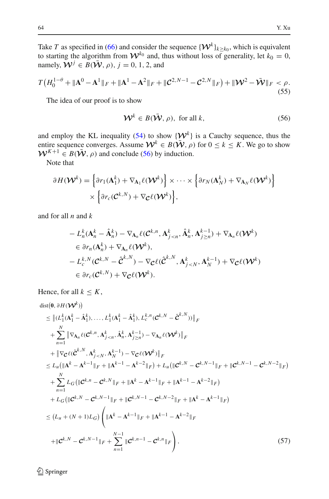Take *T* as specified in [\(66\)](#page-30-10) and consider the sequence  $\{W^k\}_{k\geq k_0}$ , which is equivalent to starting the algorithm from  $W^{k_0}$  and, thus without loss of generality, let  $k_0 = 0$ , namely,  $\mathbf{W}^j \in B(\bar{\mathbf{W}}, \rho)$ ,  $j = 0, 1, 2$ , and

$$
T\left(H_0^{1-\theta} + \|\mathbf{A}^0 - \mathbf{A}^1\|_F + \|\mathbf{A}^1 - \mathbf{A}^2\|_F + \|\mathcal{C}^{2,N-1} - \mathcal{C}^{2,N}\|_F\right) + \|\mathcal{W}^2 - \bar{\mathcal{W}}\|_F < \rho.
$$
\n(55)

<span id="page-25-0"></span>The idea of our proof is to show

$$
\mathcal{W}^k \in B(\bar{\mathcal{W}}, \rho), \text{ for all } k,
$$
 (56)

and employ the KL inequality [\(54\)](#page-24-1) to show  $\{W^k\}$  is a Cauchy sequence, thus the entire sequence converges. Assume  $W^k \in B(\bar{W}, \rho)$  for  $0 \le k \le K$ . We go to show  $W^{K+1} \in B(\bar{W}, \rho)$  and conclude [\(56\)](#page-25-0) by induction.

Note that

$$
\partial H(\mathbf{W}^k) = \left\{ \partial r_1(\mathbf{A}_1^k) + \nabla_{\mathbf{A}_1} \ell(\mathbf{W}^k) \right\} \times \cdots \times \left\{ \partial r_N(\mathbf{A}_N^k) + \nabla_{\mathbf{A}_N} \ell(\mathbf{W}^k) \right\} \times \left\{ \partial r_c(\mathbf{C}^{k,N}) + \nabla_{\mathbf{C}} \ell(\mathbf{W}^k) \right\},
$$

and for all *n* and *k*

$$
- L_n^k(\mathbf{A}_n^k - \hat{\mathbf{A}}_n^k) - \nabla_{\mathbf{A}_n} \ell(\mathcal{C}^{k,n}, \mathbf{A}_{j \le n}^k, \hat{\mathbf{A}}_n^k, \mathbf{A}_{j \ge n}^{k-1}) + \nabla_{\mathbf{A}_n} \ell(\mathcal{W}^k)
$$
  
\n
$$
\in \partial r_n(\mathbf{A}_n^k) + \nabla_{\mathbf{A}_n} \ell(\mathcal{W}^k),
$$
  
\n
$$
- L_c^{k,N}(\mathcal{C}^{k,N} - \hat{\mathcal{C}}^{k,N}) - \nabla_{\mathcal{C}} \ell(\hat{\mathcal{C}}^{k,N}, \mathbf{A}_{j \le N}^k, \mathbf{A}_N^{k-1}) + \nabla_{\mathcal{C}} \ell(\mathcal{W}^k)
$$
  
\n
$$
\in \partial r_c(\mathcal{C}^{k,N}) + \nabla_{\mathcal{C}} \ell(\mathcal{W}^k).
$$

Hence, for all  $k \leq K$ ,

<span id="page-25-1"></span>
$$
\begin{split}\n&\text{dist}(0, \partial H(\mathbf{W}^{k})) \\
&\leq \left\| (L_{1}^{k}(\mathbf{A}_{1}^{k}-\hat{\mathbf{A}}_{1}^{k}),..., L_{1}^{k}(\mathbf{A}_{1}^{k}-\hat{\mathbf{A}}_{1}^{k}), L_{c}^{k,n}(\mathbf{C}^{k,N}-\hat{\mathbf{C}}^{k,N})) \right\|_{F} \\
&+ \sum_{n=1}^{N} \left\| \nabla_{\mathbf{A}_{n}} \ell(\mathbf{C}^{k,n}, \mathbf{A}_{j
$$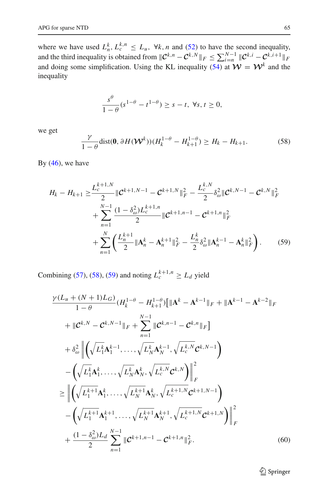where we have used  $L_h^k, L_c^{k,n} \leq L_u$ ,  $\forall k, n$  and [\(52\)](#page-24-2) to have the second inequality, and the third inequality is obtained from  $\|\mathcal{C}^{k,n} - \mathcal{C}^{k,N}\|_F \le \sum_{i=n}^{N-1} \|\mathcal{C}^{k,i} - \mathcal{C}^{k,i+1}\|_F$ and doing some simplification. Using the KL inequality [\(54\)](#page-24-1) at  $\mathcal{W} = \mathcal{W}^k$  and the inequality

$$
\frac{s^{\theta}}{1-\theta}(s^{1-\theta}-t^{1-\theta})\geq s-t, \ \forall s,t\geq 0,
$$

<span id="page-26-0"></span>we get

<span id="page-26-1"></span>
$$
\frac{\gamma}{1-\theta} \text{dist}(\mathbf{0}, \partial H(\mathbf{W}^k)) (H_k^{1-\theta} - H_{k+1}^{1-\theta}) \ge H_k - H_{k+1}.
$$
 (58)

By  $(46)$ , we have

$$
H_{k} - H_{k+1} \geq \frac{L_{c}^{k+1,N}}{2} \|\mathcal{C}^{k+1,N-1} - \mathcal{C}^{k+1,N} \|_{F}^{2} - \frac{L_{c}^{k,N}}{2} \delta_{\omega}^{2} \|\mathcal{C}^{k,N-1} - \mathcal{C}^{k,N} \|_{F}^{2} + \sum_{n=1}^{N-1} \frac{(1 - \delta_{\omega}^{2}) L_{c}^{k+1,n}}{2} \|\mathcal{C}^{k+1,n-1} - \mathcal{C}^{k+1,n} \|_{F}^{2} + \sum_{n=1}^{N} \left( \frac{L_{n}^{k+1}}{2} \|\mathbf{A}_{n}^{k} - \mathbf{A}_{n}^{k+1} \|_{F}^{2} - \frac{L_{n}^{k}}{2} \delta_{\omega}^{2} \|\mathbf{A}_{n}^{k-1} - \mathbf{A}_{n}^{k} \|_{F}^{2} \right). \tag{59}
$$

Combining [\(57\)](#page-25-1), [\(58\)](#page-26-0), [\(59\)](#page-26-1) and noting  $L_c^{k+1,n} \ge L_d$  yield

<span id="page-26-2"></span>
$$
\frac{\gamma (L_u + (N+1)L_G)}{1-\theta} (H_k^{1-\theta} - H_{k+1}^{1-\theta}) [\| \mathbf{A}^k - \mathbf{A}^{k-1} \|_F + \| \mathbf{A}^{k-1} - \mathbf{A}^{k-2} \|_F \n+ \| \mathbf{C}^{k,N} - \mathbf{C}^{k,N-1} \|_F + \sum_{n=1}^{N-1} \| \mathbf{C}^{k,n-1} - \mathbf{C}^{k,n} \|_F \}
$$
\n
$$
+ \delta_{\omega}^2 \left\| \left( \sqrt{L_1^k} \mathbf{A}_1^{k-1}, \dots, \sqrt{L_N^k} \mathbf{A}_N^{k-1}, \sqrt{L_c^{k,N}} \mathbf{C}^{k,N-1} \right) - \left( \sqrt{L_1^k} \mathbf{A}_1^k, \dots, \sqrt{L_N^k} \mathbf{A}_N^k, \sqrt{L_c^{k,N}} \mathbf{C}^{k,N} \right) \right\|_F^2
$$
\n
$$
\geq \left\| \left( \sqrt{L_1^{k+1}} \mathbf{A}_1^k, \dots, \sqrt{L_N^{k+1}} \mathbf{A}_N^k, \sqrt{L_c^{k+1,N}} \mathbf{C}^{k+1,N-1} \right) - \left( \sqrt{L_1^{k+1}} \mathbf{A}_1^{k+1}, \dots, \sqrt{L_N^{k+1}} \mathbf{A}_N^{k+1}, \sqrt{L_c^{k+1,N}} \mathbf{C}^{k+1,N} \right) \right\|_F^2
$$
\n
$$
+ \frac{(1 - \delta_{\omega}^2) L_d}{2} \sum_{n=1}^{N-1} \| \mathbf{C}^{k+1,n-1} - \mathbf{C}^{k+1,n} \|_F^2.
$$
\n(60)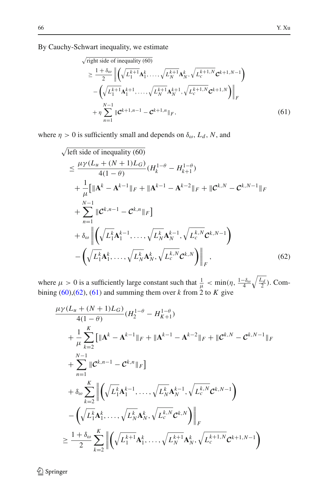## By Cauchy-Schwart inequality, we estimate

<span id="page-27-1"></span>
$$
\sqrt{\text{right side of inequality (60)}}\n\geq \frac{1+\delta_{\omega}}{2} \left\| \left( \sqrt{L_1^{k+1}} \mathbf{A}_1^k, \dots, \sqrt{L_N^{k+1}} \mathbf{A}_N^k, \sqrt{L_c^{k+1,N}} \mathbf{C}^{k+1,N-1} \right) \right\|_F\n-\left( \sqrt{L_1^{k+1}} \mathbf{A}_1^{k+1}, \dots, \sqrt{L_N^{k+1}} \mathbf{A}_N^{k+1}, \sqrt{L_c^{k+1,N}} \mathbf{C}^{k+1,N} \right) \right\|_F\n+\eta \sum_{n=1}^{N-1} \|\mathbf{C}^{k+1,n-1} - \mathbf{C}^{k+1,n}\|_F,
$$
\n(61)

where  $\eta > 0$  is sufficiently small and depends on  $\delta_{\omega}$ ,  $L_d$ , N, and

$$
\sqrt{\text{left side of inequality (60)}}\n\n\leq \frac{\mu \gamma (L_u + (N+1)L_G)}{4(1-\theta)} (H_k^{1-\theta} - H_{k+1}^{1-\theta})\n\n+ \frac{1}{\mu} [\| \mathbf{A}^k - \mathbf{A}^{k-1} \|_F + \| \mathbf{A}^{k-1} - \mathbf{A}^{k-2} \|_F + \| \mathbf{C}^{k,N} - \mathbf{C}^{k,N-1} \|_F\n\n+ \sum_{n=1}^{N-1} \| \mathbf{C}^{k,n-1} - \mathbf{C}^{k,n} \|_F\n\n+ \delta_\omega \left\| \left( \sqrt{L_1^k} \mathbf{A}_1^{k-1}, \dots, \sqrt{L_N^k} \mathbf{A}_N^{k-1}, \sqrt{L_c^{k,N}} \mathbf{C}^{k,N-1} \right) - \left( \sqrt{L_1^k} \mathbf{A}_1^k, \dots, \sqrt{L_N^k} \mathbf{A}_N^k, \sqrt{L_c^{k,N}} \mathbf{C}^{k,N} \right) \right\|_F, \tag{62}
$$

where  $\mu > 0$  is a sufficiently large constant such that  $\frac{1}{\mu} < \min(\eta, \frac{1-\delta_{\omega}}{4}\sqrt{\frac{L_d}{2}})$ . Combining [\(60\)](#page-26-2),[\(62\)](#page-27-0), [\(61\)](#page-27-1) and summing them over *k* from 2 to *K* give

<span id="page-27-0"></span>
$$
\frac{\mu\gamma(L_u + (N+1)L_G)}{4(1-\theta)}(H_2^{1-\theta} - H_{K+1}^{1-\theta}) \n+ \frac{1}{\mu} \sum_{k=2}^{K} [\|{\bf A}^k - {\bf A}^{k-1}\|_F + \|{\bf A}^{k-1} - {\bf A}^{k-2}\|_F + \|{\bf C}^{k,N} - {\bf C}^{k,N-1}\|_F \n+ \sum_{n=1}^{N-1} \|{\bf C}^{k,n-1} - {\bf C}^{k,n}\|_F \n+ \delta_{\omega} \sum_{k=2}^{K} \left\| \left( \sqrt{L_1^k} {\bf A}_1^{k-1}, \dots, \sqrt{L_N^k} {\bf A}_N^{k-1}, \sqrt{L_c^{k,N}} {\bf C}^{k,N-1} \right) \right. \n- \left( \sqrt{L_1^k} {\bf A}_1^k, \dots, \sqrt{L_N^k} {\bf A}_N^k, \sqrt{L_c^{k,N}} {\bf C}^{k,N} \right) \right\|_F \n\geq \frac{1+\delta_{\omega}}{2} \sum_{k=2}^{K} \left\| \left( \sqrt{L_1^{k+1}} {\bf A}_1^k, \dots, \sqrt{L_N^{k+1}} {\bf A}_N^k, \sqrt{L_c^{k+1,N}} {\bf C}^{k+1,N-1} \right) \right\|_F
$$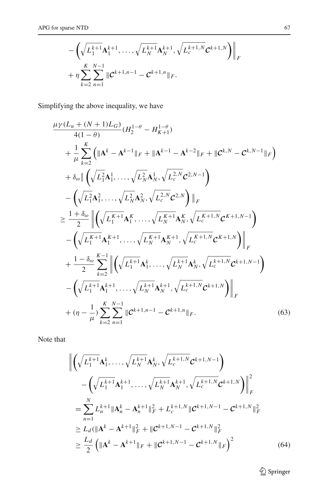$$
-\left(\sqrt{L_1^{k+1}}\mathbf{A}_1^{k+1},\ldots,\sqrt{L_N^{k+1}}\mathbf{A}_N^{k+1},\sqrt{L_c^{k+1,N}}\mathbf{C}^{k+1,N}\right)\Big|_F
$$
  
+  $\eta \sum_{k=2}^K \sum_{n=1}^{N-1} \|\mathbf{C}^{k+1,n-1} - \mathbf{C}^{k+1,n}\|_F.$ 

Simplifying the above inequality, we have

$$
\mu_{Y}(L_{u} + (N+1)L_{G})
$$
\n
$$
+ \frac{1}{\mu} \sum_{k=2}^{K} \left( \|\mathbf{A}^{k} - \mathbf{A}^{k-1}\|_{F} + \|\mathbf{A}^{k-1} - \mathbf{A}^{k-2}\|_{F} + \|\mathbf{C}^{k,N} - \mathbf{C}^{k,N-1}\|_{F} \right)
$$
\n
$$
+ \delta_{\omega} \|\left( \sqrt{L_{1}^{2}}\mathbf{A}_{1}^{1}, \dots, \sqrt{L_{N}^{2}}\mathbf{A}_{N}^{1}, \sqrt{L_{c}^{2,N}}\mathbf{C}^{2,N-1} \right)
$$
\n
$$
- \left( \sqrt{L_{1}^{2}}\mathbf{A}_{1}^{2}, \dots, \sqrt{L_{N}^{2}}\mathbf{A}_{N}^{2}, \sqrt{L_{c}^{2,N}}\mathbf{C}^{2,N} \right) \|_{F}
$$
\n
$$
\geq \frac{1+\delta_{\omega}}{2} \|\left( \sqrt{L_{1}^{K+1}}\mathbf{A}_{1}^{K}, \dots, \sqrt{L_{N}^{K+1}}\mathbf{A}_{N}^{K}, \sqrt{L_{c}^{K+1,N}}\mathbf{C}^{K+1,N-1} \right)
$$
\n
$$
- \left( \sqrt{L_{1}^{K+1}}\mathbf{A}_{1}^{K+1}, \dots, \sqrt{L_{N}^{K+1}}\mathbf{A}_{N}^{K+1}, \sqrt{L_{c}^{K+1,N}}\mathbf{C}^{K+1,N} \right) \|_{F}
$$
\n
$$
+ \frac{1-\delta_{\omega}}{2} \sum_{k=2}^{K-1} \|\left( \sqrt{L_{1}^{k+1}}\mathbf{A}_{1}^{k}, \dots, \sqrt{L_{N}^{k+1}}\mathbf{A}_{N}^{k}, \sqrt{L_{c}^{k+1,N}}\mathbf{C}^{k+1,N-1} \right)
$$
\n
$$
- \left( \sqrt{L_{1}^{k+1}}\mathbf{A}_{1}^{k+1}, \dots, \sqrt{L_{N}^{k+1}}\mathbf{A}_{N}^{k+1}, \sqrt{L_{c}^{k+1,N}}\mathbf{C}^{k+1,N-1} \right)
$$
\n
$$
+ (\eta - \frac{1}{\mu}) \sum_{k=2
$$

Note that

<span id="page-28-1"></span>
$$
\left\| \left( \sqrt{L_1^{k+1}} \mathbf{A}_1^k, \dots, \sqrt{L_N^{k+1}} \mathbf{A}_N^k, \sqrt{L_c^{k+1,N}} \mathbf{C}^{k+1,N-1} \right) - \left( \sqrt{L_1^{k+1}} \mathbf{A}_1^{k+1}, \dots, \sqrt{L_N^{k+1}} \mathbf{A}_N^{k+1}, \sqrt{L_c^{k+1,N}} \mathbf{C}^{k+1,N} \right) \right\|_F^2
$$
  
\n
$$
= \sum_{n=1}^N L_n^{k+1} \|\mathbf{A}_n^k - \mathbf{A}_n^{k+1}\|_F^2 + L_c^{k+1,N} \|\mathbf{C}^{k+1,N-1} - \mathbf{C}^{k+1,N} \|^2_F
$$
  
\n
$$
\ge L_d (\|\mathbf{A}^k - \mathbf{A}^{k+1}\|_F^2 + \|\mathbf{C}^{k+1,N-1} - \mathbf{C}^{k+1,N} \|^2_F)
$$
  
\n
$$
\ge \frac{L_d}{2} \left( \|\mathbf{A}^k - \mathbf{A}^{k+1}\|_F + \|\mathbf{C}^{k+1,N-1} - \mathbf{C}^{k+1,N} \|^2_F \right)^2
$$
 (64)

<span id="page-28-0"></span> $\underline{\raisebox{.3ex}{\Leftrightarrow}}$  Springer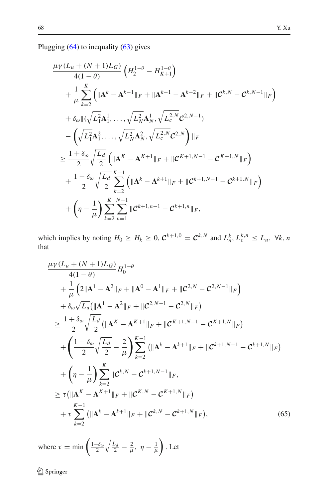Plugging [\(64\)](#page-28-0) to inequality [\(63\)](#page-28-1) gives

$$
\frac{\mu\gamma(L_u + (N+1)L_G)}{4(1-\theta)} \left( H_2^{1-\theta} - H_{K+1}^{1-\theta} \right)
$$
  
+ 
$$
\frac{1}{\mu} \sum_{k=2}^{K} \left( \|\mathbf{A}^{k} - \mathbf{A}^{k-1}\|_{F} + \|\mathbf{A}^{k-1} - \mathbf{A}^{k-2}\|_{F} + \|C^{k,N} - C^{k,N-1}\|_{F} \right)
$$
  
+ 
$$
\delta_{\omega} \| (\sqrt{L_1^2} \mathbf{A}_1^1, \dots, \sqrt{L_N^2} \mathbf{A}_N^1, \sqrt{L_c^{2,N}} C^{2,N-1})
$$
  
- 
$$
\left( \sqrt{L_1^2} \mathbf{A}_1^2, \dots, \sqrt{L_N^2} \mathbf{A}_N^2, \sqrt{L_c^{2,N}} C^{2,N} \right) \|_{F}
$$
  

$$
\geq \frac{1+\delta_{\omega}}{2} \sqrt{\frac{L_d}{2}} \left( \|\mathbf{A}^{K} - \mathbf{A}^{K+1}\|_{F} + \|C^{K+1,N-1} - C^{K+1,N} \|_{F} \right)
$$
  
+ 
$$
\frac{1-\delta_{\omega}}{2} \sqrt{\frac{L_d}{2}} \sum_{k=2}^{K-1} \left( \|\mathbf{A}^{k} - \mathbf{A}^{k+1}\|_{F} + \|C^{k+1,N-1} - C^{k+1,N} \|_{F} \right)
$$
  
+ 
$$
\left( \eta - \frac{1}{\mu} \right) \sum_{k=2}^{K} \sum_{n=1}^{N-1} \|C^{k+1,n-1} - C^{k+1,n} \|_{F},
$$

which implies by noting  $H_0 \ge H_k \ge 0$ ,  $C^{k+1,0} = C^{k,N}$  and  $L_n^k, L_c^{k,n} \le L_u$ ,  $\forall k, n$ that

$$
\frac{\mu\gamma(L_u + (N+1)L_G)}{4(1-\theta)} H_0^{1-\theta} \n+ \frac{1}{\mu} \left( 2\|{\bf A}^1 - {\bf A}^2\|_F + \|{\bf A}^0 - {\bf A}^1\|_F + \|C^{2,N} - C^{2,N-1}\|_F \right) \n+ \delta_{\omega} \sqrt{L_u} (\|{\bf A}^1 - {\bf A}^2\|_F + \|C^{2,N-1} - C^{2,N}\|_F) \n\geq \frac{1+\delta_{\omega}}{2} \sqrt{\frac{L_d}{2}} (\|{\bf A}^K - {\bf A}^{K+1}\|_F + \|C^{K+1,N-1} - C^{K+1,N}\|_F) \n+ \left( \frac{1-\delta_{\omega}}{2} \sqrt{\frac{L_d}{2}} - \frac{2}{\mu} \right) \sum_{k=2}^{K-1} (\|{\bf A}^k - {\bf A}^{k+1}\|_F + \|C^{k+1,N-1} - C^{k+1,N}\|_F) \n+ \left( \eta - \frac{1}{\mu} \right) \sum_{k=2}^{K} \|C^{k,N} - C^{k+1,N-1}\|_F, \n\geq \tau (\|{\bf A}^K - {\bf A}^{K+1}\|_F + \|C^{K,N} - C^{K+1,N}\|_F) \n+ \tau \sum_{k=2}^{K-1} (\|{\bf A}^k - {\bf A}^{k+1}\|_F + \|C^{k,N} - C^{k+1,N}\|_F), \tag{65}
$$

<span id="page-29-0"></span>where  $\tau = \min \left( \frac{1-\delta_{\omega}}{2} \sqrt{\frac{L_d}{2}} - \frac{2}{\mu}, \eta - \frac{1}{\mu} \right)$  $\big)$ . Let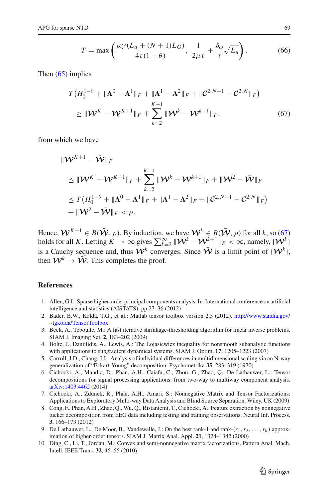$$
T = \max\left(\frac{\mu\gamma(L_u + (N+1)L_G)}{4\tau(1-\theta)}, \frac{1}{2\mu\tau} + \frac{\delta_\omega}{\tau}\sqrt{L_u}\right).
$$
 (66)

<span id="page-30-10"></span>Then [\(65\)](#page-29-0) implies

<span id="page-30-11"></span>
$$
T\left(H_0^{1-\theta} + \|\mathbf{A}^0 - \mathbf{A}^1\|_F + \|\mathbf{A}^1 - \mathbf{A}^2\|_F + \|\mathcal{C}^{2,N-1} - \mathcal{C}^{2,N}\|_F\right)
$$
  
\n
$$
\geq \|\mathcal{W}^K - \mathcal{W}^{K+1}\|_F + \sum_{k=2}^{K-1} \|\mathcal{W}^k - \mathcal{W}^{k+1}\|_F,
$$
 (67)

from which we have

$$
\|\mathcal{W}^{K+1} - \bar{\mathcal{W}}\|_{F}
$$
  
\n
$$
\leq \|\mathcal{W}^{K} - \mathcal{W}^{K+1}\|_{F} + \sum_{k=2}^{K-1} \|\mathcal{W}^{k} - \mathcal{W}^{k+1}\|_{F} + \|\mathcal{W}^{2} - \bar{\mathcal{W}}\|_{F}
$$
  
\n
$$
\leq T\left(H_0^{1-\theta} + \|\mathbf{A}^0 - \mathbf{A}^1\|_{F} + \|\mathbf{A}^1 - \mathbf{A}^2\|_{F} + \|\mathcal{C}^{2,N-1} - \mathcal{C}^{2,N}\|_{F}\right)
$$
  
\n
$$
+ \|\mathcal{W}^{2} - \bar{\mathcal{W}}\|_{F} < \rho.
$$

Hence,  $W^{K+1} \in B(\bar{W}, \rho)$ . By induction, we have  $W^k \in B(\bar{W}, \rho)$  for all *k*, so [\(67\)](#page-30-11) holds for all *K*. Letting  $K \to \infty$  gives  $\sum_{k=2}^{\infty} ||\mathcal{W}^k - \mathcal{W}^{k+1}_-||_F < \infty$ , namely,  $\{\mathcal{W}^k\}$ is a Cauchy sequence and, thus  $W^k$  converges. Since  $\overline{W}$  is a limit point of  $\{W^k\}$ , then  $\mathcal{W}^k \to \overline{\mathcal{W}}$ . This completes the proof.

#### <span id="page-30-3"></span>**References**

- 1. Allen, G.I.: Sparse higher-order principal components analysis. In: International conference on artificial intelligence and statistics (AISTATS), pp 27–36 (2012)
- <span id="page-30-7"></span>2. Bader, B.W., Kolda, T.G., et al.: Matlab tensor toolbox version 2.5 (2012). [http://www.sandia.gov/](http://www.sandia.gov/~tgkolda/TensorToolbox) [~tgkolda/TensorToolbox](http://www.sandia.gov/~tgkolda/TensorToolbox)
- <span id="page-30-4"></span>3. Beck, A., Teboulle, M.: A fast iterative shrinkage-thresholding algorithm for linear inverse problems. SIAM J. Imaging Sci. **2**, 183–202 (2009)
- <span id="page-30-9"></span>4. Bolte, J., Daniilidis, A., Lewis, A.: The Lojasiewicz inequality for nonsmooth subanalytic functions with applications to subgradient dynamical systems. SIAM J. Optim. **17**, 1205–1223 (2007)
- <span id="page-30-1"></span>5. Carroll, J.D., Chang, J.J.: Analysis of individual differences in multidimensional scaling via an N-way generalization of "Eckart-Young" decomposition. Psychometrika **35**, 283–319 (1970)
- <span id="page-30-0"></span>6. Cichocki, A., Mandic, D., Phan, A.H., Caiafa, C., Zhou, G., Zhao, Q., De Lathauwer, L.: Tensor decompositions for signal processing applications: from two-way to multiway component analysis. [arXiv:1403.4462](http://arxiv.org/abs/1403.4462) (2014)
- <span id="page-30-6"></span>7. Cichocki, A., Zdunek, R., Phan, A.H., Amari, S.: Nonnegative Matrix and Tensor Factorizations: Applications to Exploratory Multi-way Data Analysis and Blind Source Separation. Wiley, UK (2009)
- <span id="page-30-2"></span>8. Cong, F., Phan, A.H., Zhao, Q., Wu, Q., Ristaniemi, T., Cichocki, A.: Feature extraction by nonnegative tucker decomposition from EEG data including testing and training observations. Neural Inf. Process. **3**, 166–173 (2012)
- 9. De Lathauwer, L., De Moor, B., Vandewalle, J.: On the best rank-1 and rank-(*r*1,*r*2,...,*rn*) approximation of higher-order tensors. SIAM J. Matrix Anal. Appl. **21**, 1324–1342 (2000)
- <span id="page-30-8"></span><span id="page-30-5"></span>10. Ding, C., Li, T., Jordan, M.: Convex and semi-nonnegative matrix factorizations. Pattern Anal. Mach. Intell. IEEE Trans. **32**, 45–55 (2010)